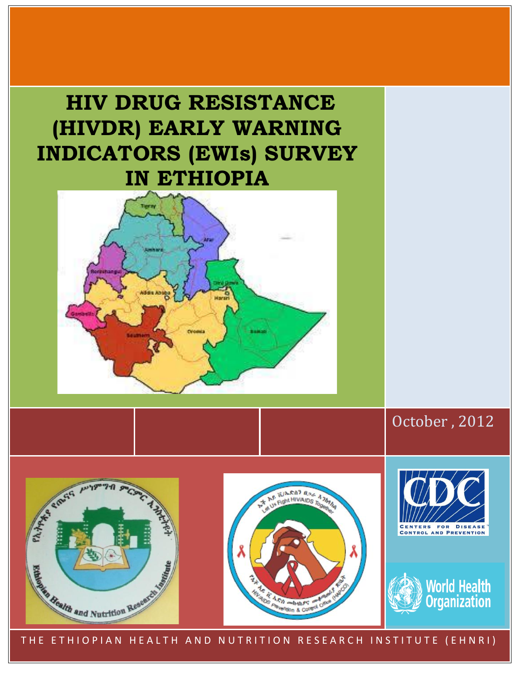# **HIV DRUG RESISTANCE (HIVDR) EARLY WARNING INDICATORS (EWIs) SURVEY IN ETHIOPIA**



October , 2012









THE ETHIOPIAN HEALTH AND NUTRITION RESEARCH INSTITUTE (EHNRI)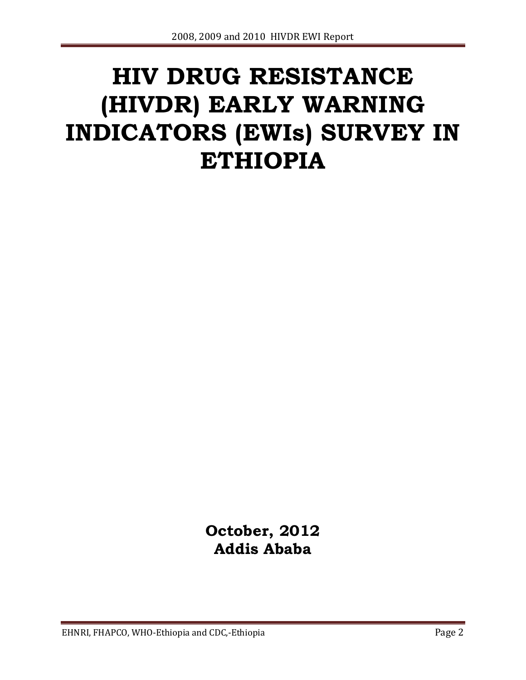# **HIV DRUG RESISTANCE (HIVDR) EARLY WARNING INDICATORS (EWIs) SURVEY IN ETHIOPIA**

**October, 2012 Addis Ababa**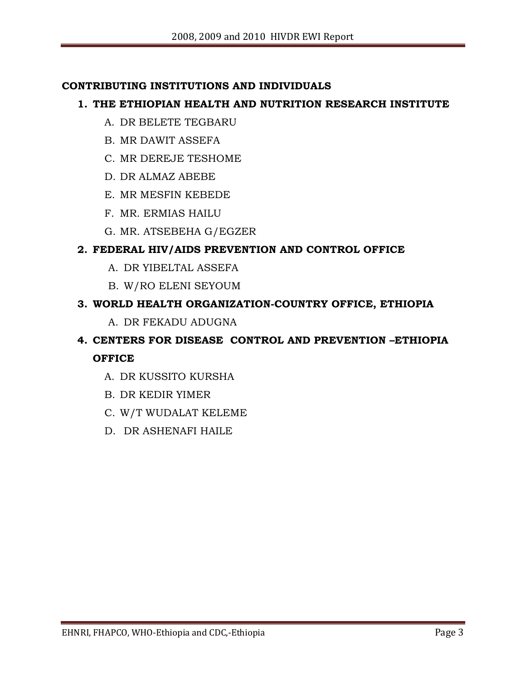#### **CONTRIBUTING INSTITUTIONS AND INDIVIDUALS**

#### **1. THE ETHIOPIAN HEALTH AND NUTRITION RESEARCH INSTITUTE**

- A. DR BELETE TEGBARU
- B. MR DAWIT ASSEFA
- C. MR DEREJE TESHOME
- D. DR ALMAZ ABEBE
- E. MR MESFIN KEBEDE
- F. MR. ERMIAS HAILU
- G. MR. ATSEBEHA G/EGZER

#### **2. FEDERAL HIV/AIDS PREVENTION AND CONTROL OFFICE**

- A. DR YIBELTAL ASSEFA
- B. W/RO ELENI SEYOUM

#### **3. WORLD HEALTH ORGANIZATION-COUNTRY OFFICE, ETHIOPIA**

A. DR FEKADU ADUGNA

# **4. CENTERS FOR DISEASE CONTROL AND PREVENTION –ETHIOPIA OFFICE**

- A. DR KUSSITO KURSHA
- B. DR KEDIR YIMER
- C. W/T WUDALAT KELEME
- D. DR ASHENAFI HAILE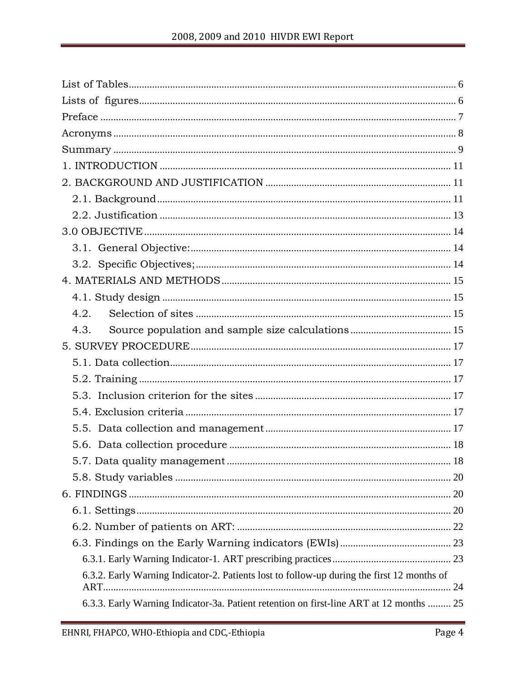| 4.2.                                                                                       |
|--------------------------------------------------------------------------------------------|
| 4.3.                                                                                       |
|                                                                                            |
|                                                                                            |
|                                                                                            |
|                                                                                            |
|                                                                                            |
|                                                                                            |
|                                                                                            |
|                                                                                            |
|                                                                                            |
|                                                                                            |
|                                                                                            |
|                                                                                            |
|                                                                                            |
|                                                                                            |
| 6.3.2. Early Warning Indicator-2. Patients lost to follow-up during the first 12 months of |
|                                                                                            |
| 6.3.3. Early Warning Indicator-3a. Patient retention on first-line ART at 12 months  25    |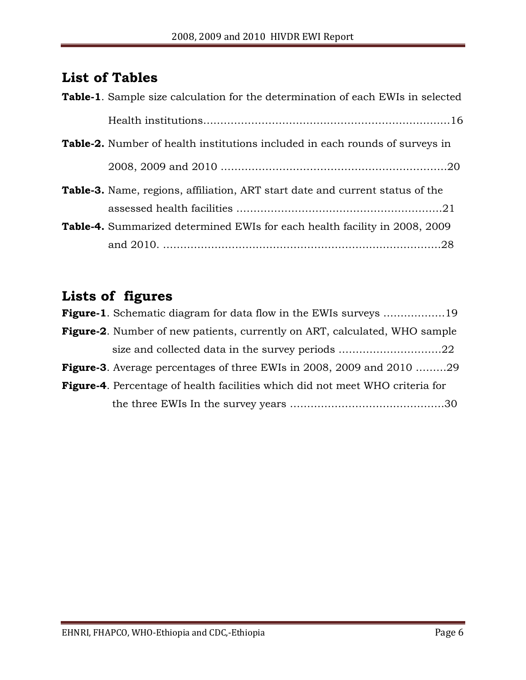# <span id="page-5-0"></span>**List of Tables**

| Table-1. Sample size calculation for the determination of each EWIs in selected     |
|-------------------------------------------------------------------------------------|
|                                                                                     |
| <b>Table-2.</b> Number of health institutions included in each rounds of surveys in |
|                                                                                     |
| Table-3. Name, regions, affiliation, ART start date and current status of the       |
|                                                                                     |
| <b>Table-4.</b> Summarized determined EWIs for each health facility in 2008, 2009   |
|                                                                                     |

# <span id="page-5-1"></span>**Lists of figures**

| <b>Figure-1.</b> Schematic diagram for data flow in the EWIs surveys 19              |
|--------------------------------------------------------------------------------------|
| <b>Figure-2.</b> Number of new patients, currently on ART, calculated, WHO sample    |
| size and collected data in the survey periods 22                                     |
| <b>Figure-3.</b> Average percentages of three EWIs in 2008, 2009 and 2010 29         |
| <b>Figure-4.</b> Percentage of health facilities which did not meet WHO criteria for |
|                                                                                      |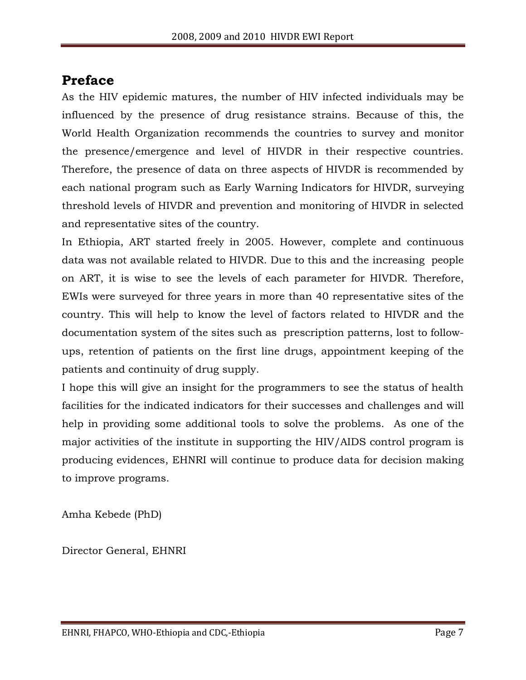# <span id="page-6-0"></span>**Preface**

As the HIV epidemic matures, the number of HIV infected individuals may be influenced by the presence of drug resistance strains. Because of this, the World Health Organization recommends the countries to survey and monitor the presence/emergence and level of HIVDR in their respective countries. Therefore, the presence of data on three aspects of HIVDR is recommended by each national program such as Early Warning Indicators for HIVDR, surveying threshold levels of HIVDR and prevention and monitoring of HIVDR in selected and representative sites of the country.

In Ethiopia, ART started freely in 2005. However, complete and continuous data was not available related to HIVDR. Due to this and the increasing people on ART, it is wise to see the levels of each parameter for HIVDR. Therefore, EWIs were surveyed for three years in more than 40 representative sites of the country. This will help to know the level of factors related to HIVDR and the documentation system of the sites such as prescription patterns, lost to followups, retention of patients on the first line drugs, appointment keeping of the patients and continuity of drug supply.

I hope this will give an insight for the programmers to see the status of health facilities for the indicated indicators for their successes and challenges and will help in providing some additional tools to solve the problems. As one of the major activities of the institute in supporting the HIV/AIDS control program is producing evidences, EHNRI will continue to produce data for decision making to improve programs.

Amha Kebede (PhD)

Director General, EHNRI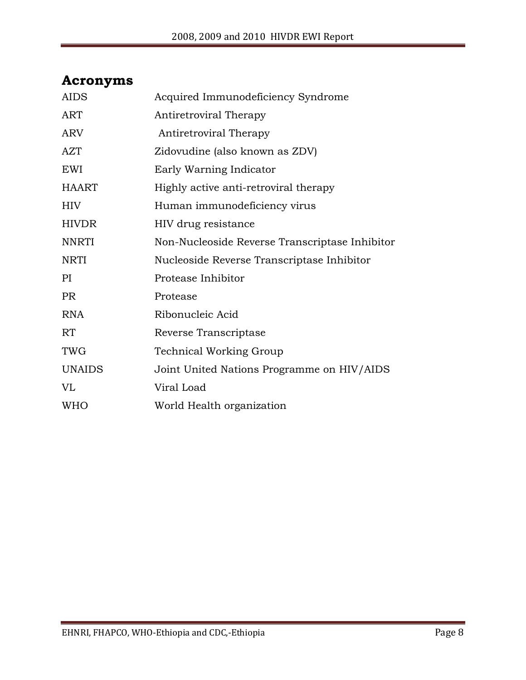# <span id="page-7-0"></span>**Acronyms**

| <b>AIDS</b>   | Acquired Immunodeficiency Syndrome             |
|---------------|------------------------------------------------|
| <b>ART</b>    | Antiretroviral Therapy                         |
| <b>ARV</b>    | Antiretroviral Therapy                         |
| <b>AZT</b>    | Zidovudine (also known as ZDV)                 |
| EWI           | Early Warning Indicator                        |
| <b>HAART</b>  | Highly active anti-retroviral therapy          |
| HIV           | Human immunodeficiency virus                   |
| <b>HIVDR</b>  | HIV drug resistance                            |
| <b>NNRTI</b>  | Non-Nucleoside Reverse Transcriptase Inhibitor |
| <b>NRTI</b>   | Nucleoside Reverse Transcriptase Inhibitor     |
| PI            | Protease Inhibitor                             |
| <b>PR</b>     | Protease                                       |
| <b>RNA</b>    | Ribonucleic Acid                               |
| RT            | Reverse Transcriptase                          |
| TWG           | <b>Technical Working Group</b>                 |
| <b>UNAIDS</b> | Joint United Nations Programme on HIV/AIDS     |
| VL            | Viral Load                                     |
| <b>WHO</b>    | World Health organization                      |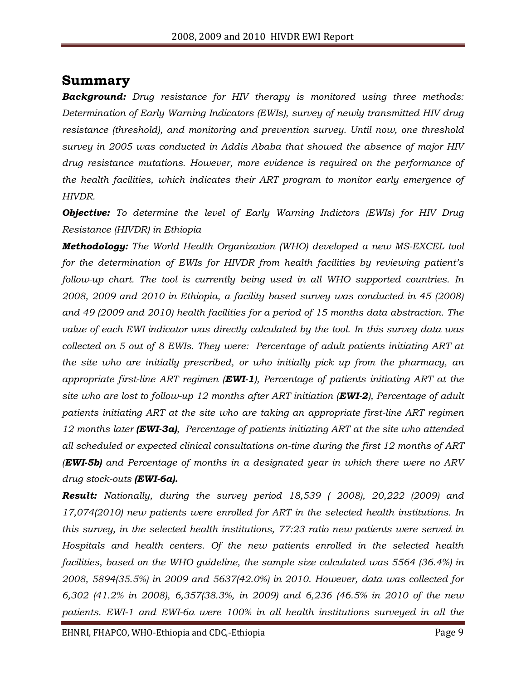## <span id="page-8-0"></span>**Summary**

*Background: Drug resistance for HIV therapy is monitored using three methods: Determination of Early Warning Indicators (EWIs), survey of newly transmitted HIV drug resistance (threshold), and monitoring and prevention survey. Until now, one threshold survey in 2005 was conducted in Addis Ababa that showed the absence of major HIV drug resistance mutations. However, more evidence is required on the performance of the health facilities, which indicates their ART program to monitor early emergence of HIVDR.*

*Objective: To determine the level of Early Warning Indictors (EWIs) for HIV Drug Resistance (HIVDR) in Ethiopia* 

*Methodology: The World Health Organization (WHO) developed a new MS-EXCEL tool for the determination of EWIs for HIVDR from health facilities by reviewing patient's follow-up chart. The tool is currently being used in all WHO supported countries. In 2008, 2009 and 2010 in Ethiopia, a facility based survey was conducted in 45 (2008) and 49 (2009 and 2010) health facilities for a period of 15 months data abstraction. The value of each EWI indicator was directly calculated by the tool. In this survey data was collected on 5 out of 8 EWIs. They were: Percentage of adult patients initiating ART at the site who are initially prescribed, or who initially pick up from the pharmacy, an appropriate first-line ART regimen (EWI-1), Percentage of patients initiating ART at the site who are lost to follow-up 12 months after ART initiation (EWI-2), Percentage of adult patients initiating ART at the site who are taking an appropriate first-line ART regimen 12 months later (EWI-3a), Percentage of patients initiating ART at the site who attended all scheduled or expected clinical consultations on-time during the first 12 months of ART (EWI-5b) and Percentage of months in a designated year in which there were no ARV drug stock-outs (EWI-6a).*

*Result: Nationally, during the survey period 18,539 ( 2008), 20,222 (2009) and 17,074(2010) new patients were enrolled for ART in the selected health institutions. In this survey, in the selected health institutions, 77:23 ratio new patients were served in Hospitals and health centers. Of the new patients enrolled in the selected health facilities, based on the WHO guideline, the sample size calculated was 5564 (36.4%) in 2008, 5894(35.5%) in 2009 and 5637(42.0%) in 2010. However, data was collected for 6,302 (41.2% in 2008), 6,357(38.3%, in 2009) and 6,236 (46.5% in 2010 of the new patients. EWI-1 and EWI-6a were 100% in all health institutions surveyed in all the*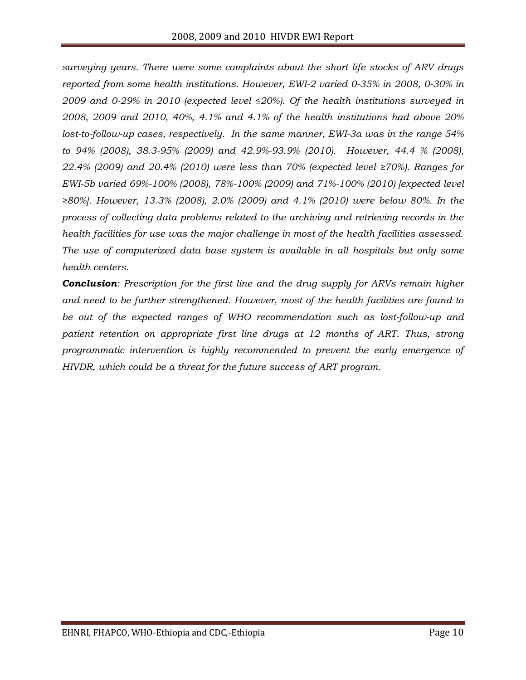*surveying years. There were some complaints about the short life stocks of ARV drugs reported from some health institutions. However, EWI-2 varied 0-35% in 2008, 0-30% in 2009 and 0-29% in 2010 (expected level ≤20%). Of the health institutions surveyed in 2008, 2009 and 2010, 40%, 4.1% and 4.1% of the health institutions had above 20% lost-to-follow-up cases, respectively. In the same manner, EWI-3a was in the range 54% to 94% (2008), 38.3-95% (2009) and 42.9%-93.9% (2010). However, 44.4 % (2008), 22.4% (2009) and 20.4% (2010) were less than 70% (expected level ≥70%). Ranges for EWI-5b varied 69%-100% (2008), 78%-100% (2009) and 71%-100% (2010) [expected level ≥80%]. However, 13.3% (2008), 2.0% (2009) and 4.1% (2010) were below 80%. In the process of collecting data problems related to the archiving and retrieving records in the health facilities for use was the major challenge in most of the health facilities assessed. The use of computerized data base system is available in all hospitals but only some health centers.*

*Conclusion: Prescription for the first line and the drug supply for ARVs remain higher and need to be further strengthened. However, most of the health facilities are found to be out of the expected ranges of WHO recommendation such as lost-follow-up and patient retention on appropriate first line drugs at 12 months of ART. Thus, strong programmatic intervention is highly recommended to prevent the early emergence of HIVDR, which could be a threat for the future success of ART program.*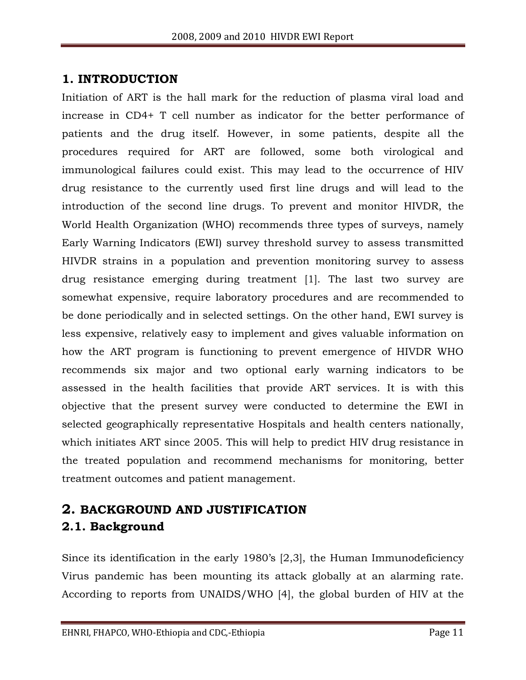# <span id="page-10-0"></span>**1. INTRODUCTION**

Initiation of ART is the hall mark for the reduction of plasma viral load and increase in CD4+ T cell number as indicator for the better performance of patients and the drug itself. However, in some patients, despite all the procedures required for ART are followed, some both virological and immunological failures could exist. This may lead to the occurrence of HIV drug resistance to the currently used first line drugs and will lead to the introduction of the second line drugs. To prevent and monitor HIVDR, the World Health Organization (WHO) recommends three types of surveys, namely Early Warning Indicators (EWI) survey threshold survey to assess transmitted HIVDR strains in a population and prevention monitoring survey to assess drug resistance emerging during treatment [1]. The last two survey are somewhat expensive, require laboratory procedures and are recommended to be done periodically and in selected settings. On the other hand, EWI survey is less expensive, relatively easy to implement and gives valuable information on how the ART program is functioning to prevent emergence of HIVDR WHO recommends six major and two optional early warning indicators to be assessed in the health facilities that provide ART services. It is with this objective that the present survey were conducted to determine the EWI in selected geographically representative Hospitals and health centers nationally, which initiates ART since 2005. This will help to predict HIV drug resistance in the treated population and recommend mechanisms for monitoring, better treatment outcomes and patient management.

# <span id="page-10-2"></span><span id="page-10-1"></span>**2. BACKGROUND AND JUSTIFICATION 2.1. Background**

Since its identification in the early 1980's [2,3], the Human Immunodeficiency Virus pandemic has been mounting its attack globally at an alarming rate. According to reports from UNAIDS/WHO [4], the global burden of HIV at the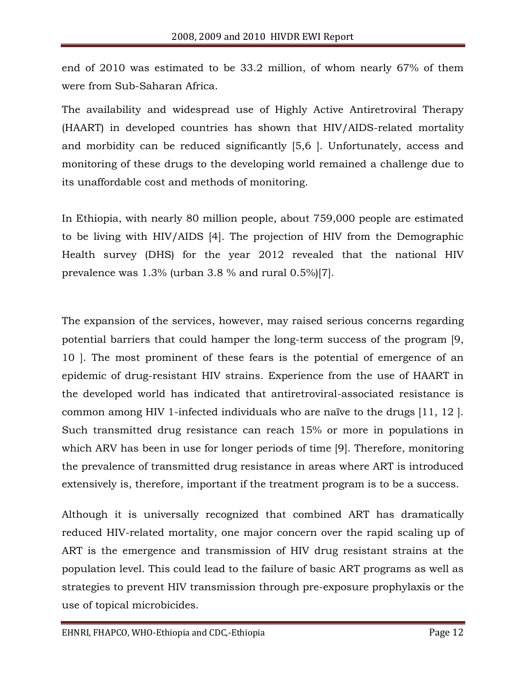end of 2010 was estimated to be 33.2 million, of whom nearly 67% of them were from Sub-Saharan Africa.

The availability and widespread use of Highly Active Antiretroviral Therapy (HAART) in developed countries has shown that HIV/AIDS-related mortality and morbidity can be reduced significantly [5,6 ]. Unfortunately, access and monitoring of these drugs to the developing world remained a challenge due to its unaffordable cost and methods of monitoring.

In Ethiopia, with nearly 80 million people, about 759,000 people are estimated to be living with HIV/AIDS [4]. The projection of HIV from the Demographic Health survey (DHS) for the year 2012 revealed that the national HIV prevalence was 1.3% (urban 3.8 % and rural 0.5%)[7].

The expansion of the services, however, may raised serious concerns regarding potential barriers that could hamper the long-term success of the program [9, 10 ]. The most prominent of these fears is the potential of emergence of an epidemic of drug-resistant HIV strains. Experience from the use of HAART in the developed world has indicated that antiretroviral-associated resistance is common among HIV 1-infected individuals who are naïve to the drugs [11, 12 ]. Such transmitted drug resistance can reach 15% or more in populations in which ARV has been in use for longer periods of time [9]. Therefore, monitoring the prevalence of transmitted drug resistance in areas where ART is introduced extensively is, therefore, important if the treatment program is to be a success.

Although it is universally recognized that combined ART has dramatically reduced HIV-related mortality, one major concern over the rapid scaling up of ART is the emergence and transmission of HIV drug resistant strains at the population level. This could lead to the failure of basic ART programs as well as strategies to prevent HIV transmission through pre-exposure prophylaxis or the use of topical microbicides.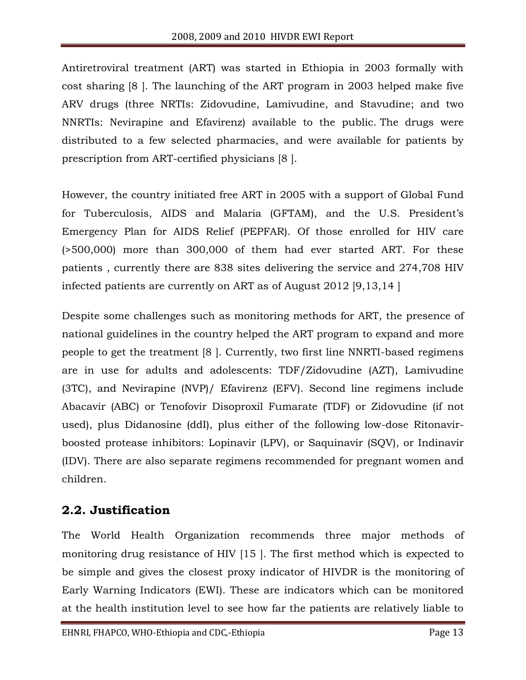Antiretroviral treatment (ART) was started in Ethiopia in 2003 formally with cost sharing [8 ]. The launching of the ART program in 2003 helped make five ARV drugs (three NRTIs: Zidovudine, Lamivudine, and Stavudine; and two NNRTIs: Nevirapine and Efavirenz) available to the public. The drugs were distributed to a few selected pharmacies, and were available for patients by prescription from ART-certified physicians [8 ].

However, the country initiated free ART in 2005 with a support of Global Fund for Tuberculosis, AIDS and Malaria (GFTAM), and the U.S. President's Emergency Plan for AIDS Relief (PEPFAR). Of those enrolled for HIV care (>500,000) more than 300,000 of them had ever started ART. For these patients , currently there are 838 sites delivering the service and 274,708 HIV infected patients are currently on ART as of August 2012 [9,13,14 ]

Despite some challenges such as monitoring methods for ART, the presence of national guidelines in the country helped the ART program to expand and more people to get the treatment [8 ]. Currently, two first line NNRTI-based regimens are in use for adults and adolescents: TDF/Zidovudine (AZT), Lamivudine (3TC), and Nevirapine (NVP)/ Efavirenz (EFV). Second line regimens include Abacavir (ABC) or Tenofovir Disoproxil Fumarate (TDF) or Zidovudine (if not used), plus Didanosine (ddI), plus either of the following low-dose Ritonavirboosted protease inhibitors: Lopinavir (LPV), or Saquinavir (SQV), or Indinavir (IDV). There are also separate regimens recommended for pregnant women and children.

# <span id="page-12-0"></span>**2.2. Justification**

The World Health Organization recommends three major methods of monitoring drug resistance of HIV [15 ]. The first method which is expected to be simple and gives the closest proxy indicator of HIVDR is the monitoring of Early Warning Indicators (EWI). These are indicators which can be monitored at the health institution level to see how far the patients are relatively liable to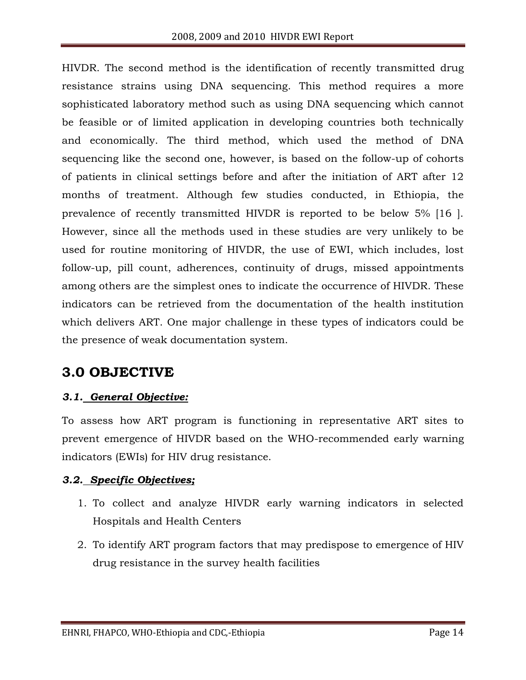HIVDR. The second method is the identification of recently transmitted drug resistance strains using DNA sequencing. This method requires a more sophisticated laboratory method such as using DNA sequencing which cannot be feasible or of limited application in developing countries both technically and economically. The third method, which used the method of DNA sequencing like the second one, however, is based on the follow-up of cohorts of patients in clinical settings before and after the initiation of ART after 12 months of treatment. Although few studies conducted, in Ethiopia, the prevalence of recently transmitted HIVDR is reported to be below 5% [16 ]. However, since all the methods used in these studies are very unlikely to be used for routine monitoring of HIVDR, the use of EWI, which includes, lost follow-up, pill count, adherences, continuity of drugs, missed appointments among others are the simplest ones to indicate the occurrence of HIVDR. These indicators can be retrieved from the documentation of the health institution which delivers ART. One major challenge in these types of indicators could be the presence of weak documentation system.

# <span id="page-13-0"></span>**3.0 OBJECTIVE**

#### <span id="page-13-1"></span>*3.1. General Objective:*

To assess how ART program is functioning in representative ART sites to prevent emergence of HIVDR based on the WHO-recommended early warning indicators (EWIs) for HIV drug resistance.

#### <span id="page-13-2"></span>*3.2. Specific Objectives;*

- 1. To collect and analyze HIVDR early warning indicators in selected Hospitals and Health Centers
- 2. To identify ART program factors that may predispose to emergence of HIV drug resistance in the survey health facilities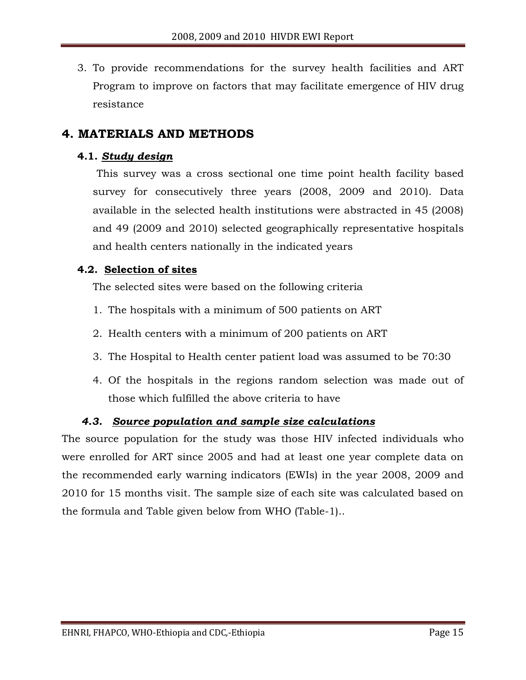3. To provide recommendations for the survey health facilities and ART Program to improve on factors that may facilitate emergence of HIV drug resistance

### <span id="page-14-0"></span>**4. MATERIALS AND METHODS**

#### <span id="page-14-1"></span>**4.1.** *Study design*

This survey was a cross sectional one time point health facility based survey for consecutively three years (2008, 2009 and 2010). Data available in the selected health institutions were abstracted in 45 (2008) and 49 (2009 and 2010) selected geographically representative hospitals and health centers nationally in the indicated years

#### <span id="page-14-2"></span>**4.2. Selection of sites**

The selected sites were based on the following criteria

- 1. The hospitals with a minimum of 500 patients on ART
- 2. Health centers with a minimum of 200 patients on ART
- 3. The Hospital to Health center patient load was assumed to be 70:30
- 4. Of the hospitals in the regions random selection was made out of those which fulfilled the above criteria to have

#### *4.3. Source population and sample size calculations*

<span id="page-14-3"></span>The source population for the study was those HIV infected individuals who were enrolled for ART since 2005 and had at least one year complete data on the recommended early warning indicators (EWIs) in the year 2008, 2009 and 2010 for 15 months visit. The sample size of each site was calculated based on the formula and Table given below from WHO (Table-1)..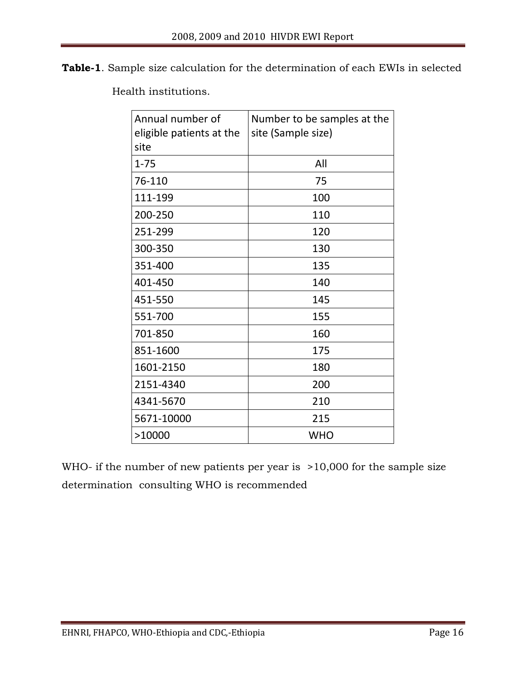**Table-1**. Sample size calculation for the determination of each EWIs in selected

Health institutions.

| Annual number of<br>eligible patients at the<br>site | Number to be samples at the<br>site (Sample size) |
|------------------------------------------------------|---------------------------------------------------|
| $1 - 75$                                             | All                                               |
| 76-110                                               | 75                                                |
| 111-199                                              | 100                                               |
| 200-250                                              | 110                                               |
| 251-299                                              | 120                                               |
| 300-350                                              | 130                                               |
| 351-400                                              | 135                                               |
| 401-450                                              | 140                                               |
| 451-550                                              | 145                                               |
| 551-700                                              | 155                                               |
| 701-850                                              | 160                                               |
| 851-1600                                             | 175                                               |
| 1601-2150                                            | 180                                               |
| 2151-4340                                            | 200                                               |
| 4341-5670                                            | 210                                               |
| 5671-10000                                           | 215                                               |
| >10000                                               | <b>WHO</b>                                        |

WHO- if the number of new patients per year is >10,000 for the sample size determination consulting WHO is recommended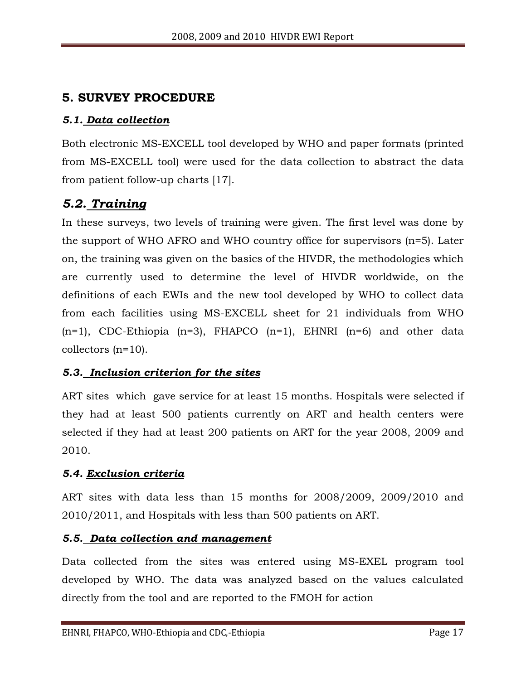# <span id="page-16-0"></span>**5. SURVEY PROCEDURE**

#### <span id="page-16-1"></span>*5.1. Data collection*

Both electronic MS-EXCELL tool developed by WHO and paper formats (printed from MS-EXCELL tool) were used for the data collection to abstract the data from patient follow-up charts [17].

# <span id="page-16-2"></span>*5.2. Training*

In these surveys, two levels of training were given. The first level was done by the support of WHO AFRO and WHO country office for supervisors (n=5). Later on, the training was given on the basics of the HIVDR, the methodologies which are currently used to determine the level of HIVDR worldwide, on the definitions of each EWIs and the new tool developed by WHO to collect data from each facilities using MS-EXCELL sheet for 21 individuals from WHO  $(n=1)$ , CDC-Ethiopia  $(n=3)$ , FHAPCO  $(n=1)$ , EHNRI  $(n=6)$  and other data collectors (n=10).

#### <span id="page-16-3"></span>*5.3. Inclusion criterion for the sites*

ART sites which gave service for at least 15 months. Hospitals were selected if they had at least 500 patients currently on ART and health centers were selected if they had at least 200 patients on ART for the year 2008, 2009 and 2010.

#### <span id="page-16-4"></span>*5.4. Exclusion criteria*

ART sites with data less than 15 months for 2008/2009, 2009/2010 and 2010/2011, and Hospitals with less than 500 patients on ART.

#### <span id="page-16-5"></span>*5.5. Data collection and management*

Data collected from the sites was entered using MS-EXEL program tool developed by WHO. The data was analyzed based on the values calculated directly from the tool and are reported to the FMOH for action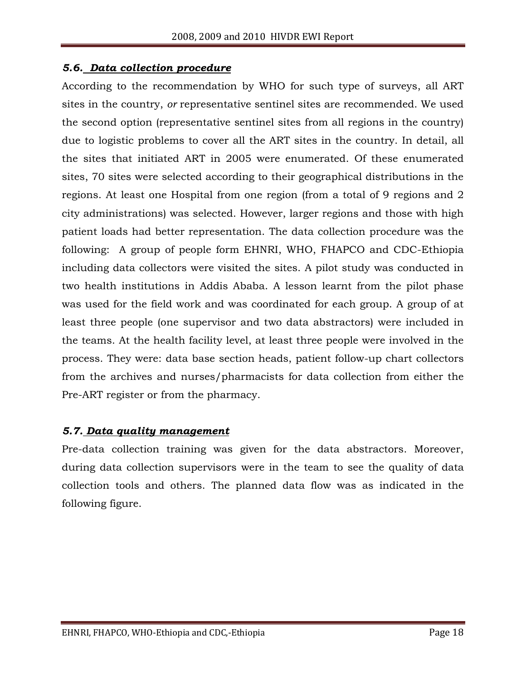#### <span id="page-17-0"></span>*5.6. Data collection procedure*

According to the recommendation by WHO for such type of surveys, all ART sites in the country, *or* representative sentinel sites are recommended. We used the second option (representative sentinel sites from all regions in the country) due to logistic problems to cover all the ART sites in the country. In detail, all the sites that initiated ART in 2005 were enumerated. Of these enumerated sites, 70 sites were selected according to their geographical distributions in the regions. At least one Hospital from one region (from a total of 9 regions and 2 city administrations) was selected. However, larger regions and those with high patient loads had better representation. The data collection procedure was the following: A group of people form EHNRI, WHO, FHAPCO and CDC-Ethiopia including data collectors were visited the sites. A pilot study was conducted in two health institutions in Addis Ababa. A lesson learnt from the pilot phase was used for the field work and was coordinated for each group. A group of at least three people (one supervisor and two data abstractors) were included in the teams. At the health facility level, at least three people were involved in the process. They were: data base section heads, patient follow-up chart collectors from the archives and nurses/pharmacists for data collection from either the Pre-ART register or from the pharmacy.

#### <span id="page-17-1"></span>*5.7. Data quality management*

Pre-data collection training was given for the data abstractors. Moreover, during data collection supervisors were in the team to see the quality of data collection tools and others. The planned data flow was as indicated in the following figure.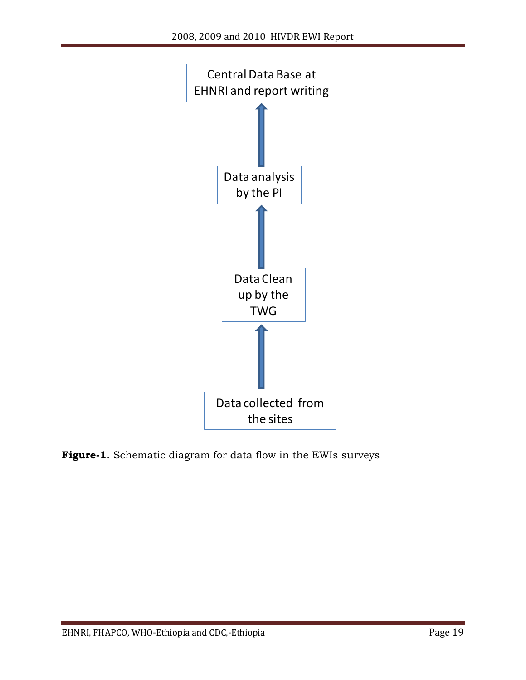

**Figure-1**. Schematic diagram for data flow in the EWIs surveys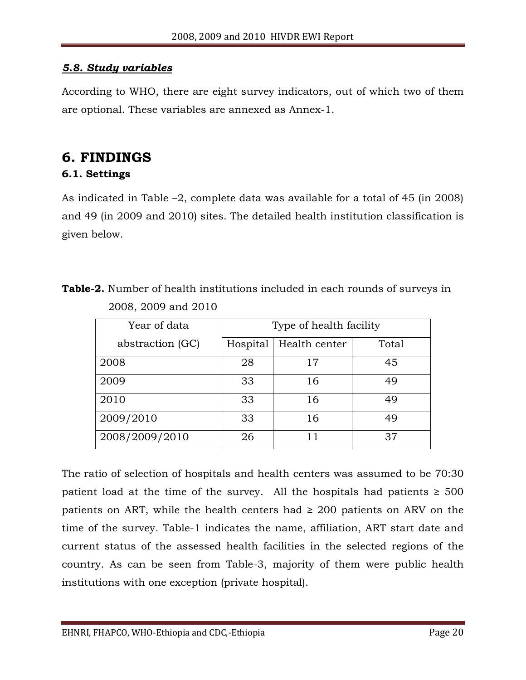#### <span id="page-19-0"></span>*5.8. Study variables*

According to WHO, there are eight survey indicators, out of which two of them are optional. These variables are annexed as Annex-1.

# <span id="page-19-1"></span>**6. FINDINGS**

#### <span id="page-19-2"></span>**6.1. Settings**

As indicated in Table –2, complete data was available for a total of 45 (in 2008) and 49 (in 2009 and 2010) sites. The detailed health institution classification is given below.

| <b>Table-2.</b> Number of health institutions included in each rounds of surveys in |  |  |  |
|-------------------------------------------------------------------------------------|--|--|--|
| 2008, 2009 and 2010                                                                 |  |  |  |

| Year of data     | Type of health facility |               |       |  |  |  |  |  |  |  |
|------------------|-------------------------|---------------|-------|--|--|--|--|--|--|--|
| abstraction (GC) | Hospital                | Health center | Total |  |  |  |  |  |  |  |
| 2008             | 28                      | 17            | 45    |  |  |  |  |  |  |  |
| 2009             | 33                      | 16            | 49    |  |  |  |  |  |  |  |
| 2010             | 33                      | 16            | 49    |  |  |  |  |  |  |  |
| 2009/2010        | 33                      | 16            | 49    |  |  |  |  |  |  |  |
| 2008/2009/2010   | 26                      | 11            | 37    |  |  |  |  |  |  |  |

The ratio of selection of hospitals and health centers was assumed to be 70:30 patient load at the time of the survey. All the hospitals had patients  $\geq 500$ patients on ART, while the health centers had  $\geq 200$  patients on ARV on the time of the survey. Table-1 indicates the name, affiliation, ART start date and current status of the assessed health facilities in the selected regions of the country. As can be seen from Table-3, majority of them were public health institutions with one exception (private hospital).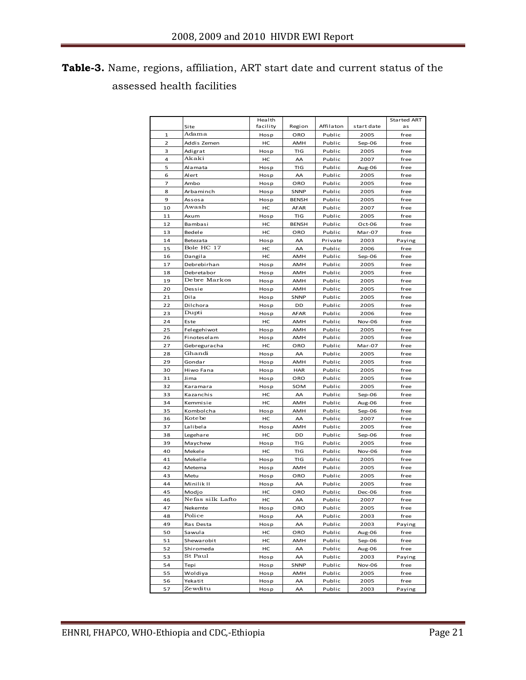# **Table-3.** Name, regions, affiliation, ART start date and current status of the assessed health facilities

|              |                  | Health   |                      |           |            | <b>Started ART</b> |
|--------------|------------------|----------|----------------------|-----------|------------|--------------------|
|              | Site             | facility | Region               | Affilaton | start date | as                 |
| $\mathbf{1}$ | Adama            | Hosp     | ORO                  | Public    | 2005       | free               |
| 2            | Addis Zemen      | HC       | AMH                  | Public    | Sep-06     | free               |
| 3            | Adigrat          | Hosp     | TIG                  | Public    | 2005       | free               |
| 4            | Akaki            | HC       | AA                   | Public    | 2007       | free               |
| 5            | Alamata          | Hosp     | TIG                  | Public    | Aug-06     | free               |
| 6            | Alert            | Hosp     | AA                   | Public    | 2005       | free               |
| 7            | Ambo             | Hosp     | ORO                  | Public    | 2005       | free               |
| 8            | Arbaminch        | Hosp     | <b>SNNP</b>          | Public    | 2005       | free               |
| 9            | Assosa           | Hosp     | <b>BENSH</b>         | Public    | 2005       | free               |
| 10           | Awash            | нc       | <b>AFAR</b>          | Public    | 2007       | free               |
| 11           | Axum             | Hosp     | TIG                  | Public    | 2005       | free               |
| 12           | Bambasi          | нc       | <b>BENSH</b>         | Public    | Oct-06     | free               |
| 13           | Bedele           | HC       | ORO                  | Public    | Mar-07     | free               |
| 14           | <b>Betezata</b>  | Hosp     | AA                   | Private   | 2003       | Paying             |
| 15           | Bole HC 17       | HC       | AA                   | Public    | 2006       | free               |
| 16           | Dangila          | HC       | AMH                  | Public    | Sep-06     | free               |
| 17           | Debrebirhan      | Hosp     | AMH                  | Public    | 2005       | free               |
| 18           | Debreta bor      | Hosp     | AMH                  | Public    | 2005       | free               |
| 19           | Debre Markos     | Hosp     | AMH                  | Public    | 2005       | free               |
| 20           | Dessie           | Hosp     | AMH                  | Public    | 2005       | free               |
| 21           | Dila             | Hosp     | SNNP                 | Public    | 2005       | free               |
| 22           | Dilchora         | Hosp     | DD                   | Public    | 2005       | free               |
| 23           | Dupti            | Hosp     | <b>AFAR</b>          | Public    | 2006       | free               |
| 24           | Este             | нc       | AMH                  | Public    | Nov-06     | free               |
| 25           | Felegehiwot      | Hosp     | AMH                  | Public    | 2005       | free               |
| 26           | Finoteselam      | Hosp     | AMH                  | Public    | 2005       | free               |
| 27           | Gebreguracha     | HC       | ORO                  | Public    | Mar-07     | free               |
| 28           | Ghandi           | Hosp     | AA                   | Public    | 2005       | free               |
| 29           | Gondar           | Hosp     | AMH                  | Public    | 2005       | free               |
| 30           | Hiwo Fana        | Hosp     | <b>HAR</b>           | Public    | 2005       | free               |
| 31           | Ji ma            | Hosp     | ORO                  | Public    | 2005       | free               |
| 32           | Karamara         | Hosp     | SOM                  | Public    | 2005       | free               |
| 33           | Kazanchis        | нс       | AA                   | Public    | Sep-06     | free               |
| 34           | Kemmisie         | HC       | AMH                  | Public    | Aug-06     | free               |
| 35           | Kombolcha        | Hosp     | AMH                  | Public    | Sep-06     | free               |
| 36           | Kote be          | HC       | AA<br>Public<br>2007 |           |            | free               |
| 37           | Lalibela         | Hosp     | AMH                  | Public    | 2005       | free               |
| 38           | Legehare         | HC       | DD                   | Public    | Sep-06     | free               |
| 39           | Maychew          | Hosp     | TIG                  | Public    | 2005       | free               |
| 40           | Mekele           | HC       | TIG                  | Public    | Nov-06     | free               |
| 41           | Mekelle          | Hosp     | TIG                  | Public    | 2005       | free               |
| 42           | Metema           | Hosp     | AMH                  | Public    | 2005       | free               |
| 43           | Metu             | Hosp     | ORO                  | Public    | 2005       | free               |
| 44           | Minilik II       | Hosp     | AA                   | Public    | 2005       | free               |
| 45           | Modjo            | HC       | ORO                  | Public    | Dec-06     | free               |
| 46           | Nefas silk Lafto | нc       | AA                   | Public    | 2007       | free               |
| 47           | Nekemte          | Hosp     | ORO                  | Public    | 2005       | free               |
| 48           | Police           | Hosp     | AA                   | Public    | 2003       | free               |
| 49           | Ras Desta        | Hosp     | AA                   | Public    | 2003       | Paying             |
| 50           | Sawula           | нc       | ORO                  | Public    | Aug-06     | free               |
| 51           | Shewarobit       | нc       | AMH                  | Public    | Sep-06     | free               |
| 52           | Shiromeda        | нc       | AA                   | Public    | Aug-06     | free               |
| 53           | St Paul          | Hosp     | AA                   | Public    | 2003       | Paying             |
| 54           | Tepi             | Hosp     | SNNP                 | Public    | Nov-06     | free               |
| 55           | Woldiya          | Hosp     | AMH                  | Public    | 2005       | free               |
| 56           | Yekatit          | Hosp     | AA                   | Public    | 2005       | free               |
| 57           | Zewditu          | Hosp     | AA                   | Public    | 2003       | Paying             |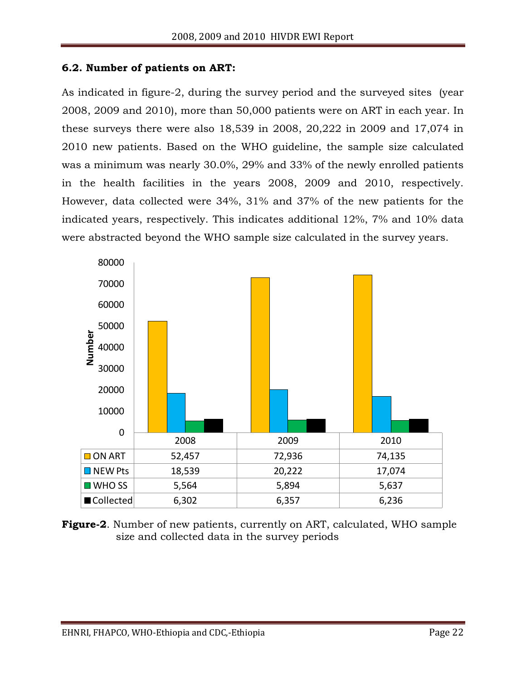#### <span id="page-21-0"></span>**6.2. Number of patients on ART:**

As indicated in figure-2, during the survey period and the surveyed sites (year 2008, 2009 and 2010), more than 50,000 patients were on ART in each year. In these surveys there were also 18,539 in 2008, 20,222 in 2009 and 17,074 in 2010 new patients. Based on the WHO guideline, the sample size calculated was a minimum was nearly 30.0%, 29% and 33% of the newly enrolled patients in the health facilities in the years 2008, 2009 and 2010, respectively. However, data collected were 34%, 31% and 37% of the new patients for the indicated years, respectively. This indicates additional 12%, 7% and 10% data were abstracted beyond the WHO sample size calculated in the survey years.



**Figure-2**. Number of new patients, currently on ART, calculated, WHO sample size and collected data in the survey periods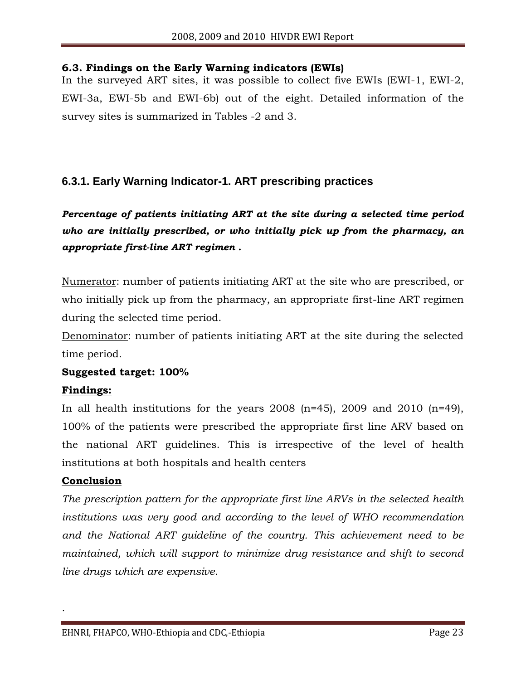#### <span id="page-22-0"></span>**6.3. Findings on the Early Warning indicators (EWIs)**

In the surveyed ART sites, it was possible to collect five EWIs (EWI-1, EWI-2, EWI-3a, EWI-5b and EWI-6b) out of the eight. Detailed information of the survey sites is summarized in Tables -2 and 3.

## <span id="page-22-1"></span>**6.3.1. Early Warning Indicator-1. ART prescribing practices**

# *Percentage of patients initiating ART at the site during a selected time period who are initially prescribed, or who initially pick up from the pharmacy, an appropriate first-line ART regimen .*

Numerator: number of patients initiating ART at the site who are prescribed, or who initially pick up from the pharmacy, an appropriate first-line ART regimen during the selected time period.

Denominator: number of patients initiating ART at the site during the selected time period.

#### **Suggested target: 100%**

#### **Findings:**

In all health institutions for the years  $2008$  (n=45),  $2009$  and  $2010$  (n=49), 100% of the patients were prescribed the appropriate first line ARV based on the national ART guidelines. This is irrespective of the level of health institutions at both hospitals and health centers

#### **Conclusion**

*.* 

*The prescription pattern for the appropriate first line ARVs in the selected health institutions was very good and according to the level of WHO recommendation and the National ART guideline of the country. This achievement need to be maintained, which will support to minimize drug resistance and shift to second line drugs which are expensive.*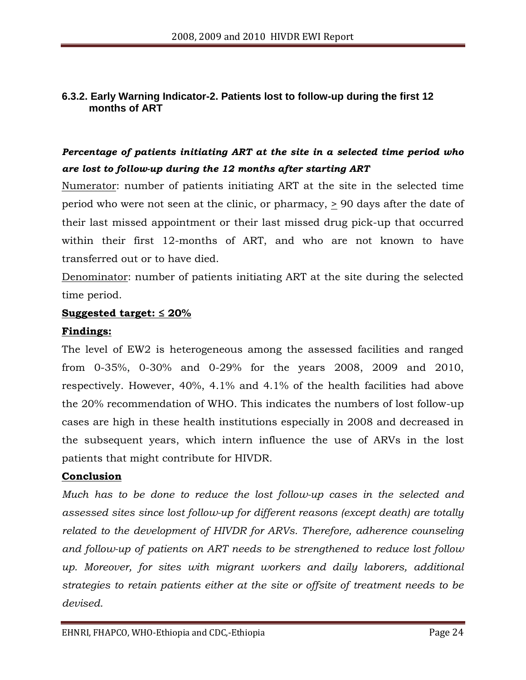#### <span id="page-23-0"></span>**6.3.2. Early Warning Indicator-2. Patients lost to follow-up during the first 12 months of ART**

# *Percentage of patients initiating ART at the site in a selected time period who are lost to follow-up during the 12 months after starting ART*

Numerator: number of patients initiating ART at the site in the selected time period who were not seen at the clinic, or pharmacy, > 90 days after the date of their last missed appointment or their last missed drug pick-up that occurred within their first 12-months of ART, and who are not known to have transferred out or to have died.

Denominator: number of patients initiating ART at the site during the selected time period.

#### **Suggested target: ≤ 20%**

#### **Findings:**

The level of EW2 is heterogeneous among the assessed facilities and ranged from 0-35%, 0-30% and 0-29% for the years 2008, 2009 and 2010, respectively. However, 40%, 4.1% and 4.1% of the health facilities had above the 20% recommendation of WHO. This indicates the numbers of lost follow-up cases are high in these health institutions especially in 2008 and decreased in the subsequent years, which intern influence the use of ARVs in the lost patients that might contribute for HIVDR.

#### **Conclusion**

*Much has to be done to reduce the lost follow-up cases in the selected and assessed sites since lost follow-up for different reasons (except death) are totally related to the development of HIVDR for ARVs. Therefore, adherence counseling and follow-up of patients on ART needs to be strengthened to reduce lost follow up. Moreover, for sites with migrant workers and daily laborers, additional strategies to retain patients either at the site or offsite of treatment needs to be devised.*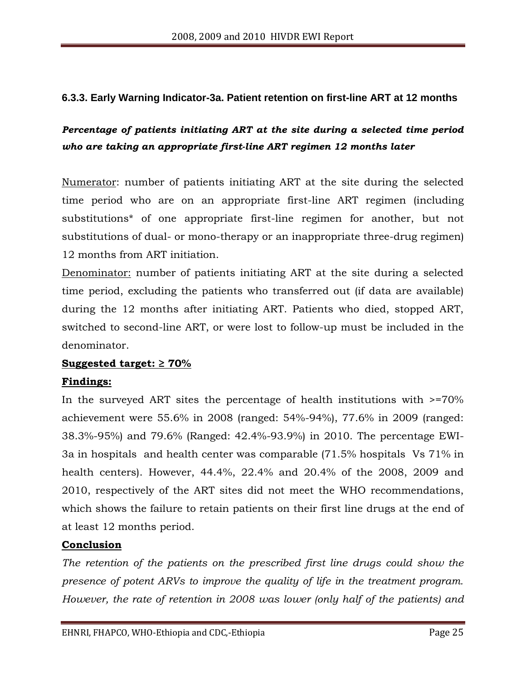#### <span id="page-24-0"></span>**6.3.3. Early Warning Indicator-3a. Patient retention on first-line ART at 12 months**

# *Percentage of patients initiating ART at the site during a selected time period who are taking an appropriate first-line ART regimen 12 months later*

Numerator: number of patients initiating ART at the site during the selected time period who are on an appropriate first-line ART regimen (including substitutions\* of one appropriate first-line regimen for another, but not substitutions of dual- or mono-therapy or an inappropriate three-drug regimen) 12 months from ART initiation.

Denominator: number of patients initiating ART at the site during a selected time period, excluding the patients who transferred out (if data are available) during the 12 months after initiating ART. Patients who died, stopped ART, switched to second-line ART, or were lost to follow-up must be included in the denominator.

#### **Suggested target: ≥ 70%**

#### **Findings:**

In the surveyed ART sites the percentage of health institutions with >=70% achievement were 55.6% in 2008 (ranged: 54%-94%), 77.6% in 2009 (ranged: 38.3%-95%) and 79.6% (Ranged: 42.4%-93.9%) in 2010. The percentage EWI-3a in hospitals and health center was comparable (71.5% hospitals Vs 71% in health centers). However, 44.4%, 22.4% and 20.4% of the 2008, 2009 and 2010, respectively of the ART sites did not meet the WHO recommendations, which shows the failure to retain patients on their first line drugs at the end of at least 12 months period.

#### **Conclusion**

*The retention of the patients on the prescribed first line drugs could show the presence of potent ARVs to improve the quality of life in the treatment program. However, the rate of retention in 2008 was lower (only half of the patients) and*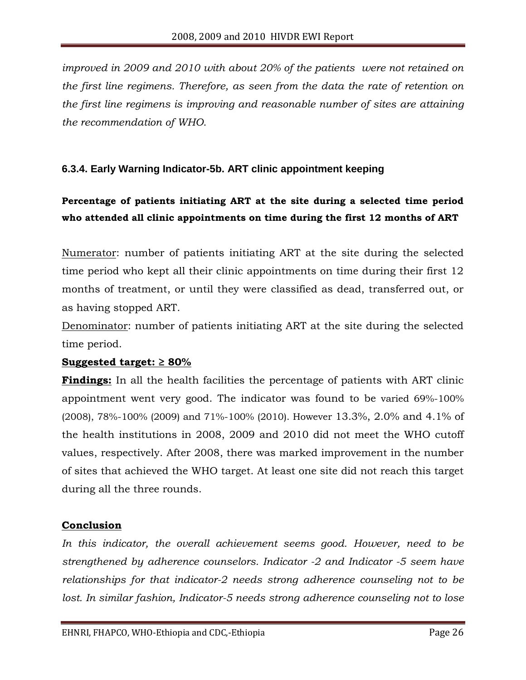*improved in 2009 and 2010 with about 20% of the patients were not retained on the first line regimens. Therefore, as seen from the data the rate of retention on the first line regimens is improving and reasonable number of sites are attaining the recommendation of WHO.* 

#### <span id="page-25-0"></span>**6.3.4. Early Warning Indicator-5b. ART clinic appointment keeping**

# **Percentage of patients initiating ART at the site during a selected time period who attended all clinic appointments on time during the first 12 months of ART**

Numerator: number of patients initiating ART at the site during the selected time period who kept all their clinic appointments on time during their first 12 months of treatment, or until they were classified as dead, transferred out, or as having stopped ART.

Denominator: number of patients initiating ART at the site during the selected time period.

#### **Suggested target: ≥ 80%**

**Findings:** In all the health facilities the percentage of patients with ART clinic appointment went very good. The indicator was found to be varied 69%-100% (2008), 78%-100% (2009) and 71%-100% (2010). However 13.3%, 2.0% and 4.1% of the health institutions in 2008, 2009 and 2010 did not meet the WHO cutoff values, respectively. After 2008, there was marked improvement in the number of sites that achieved the WHO target. At least one site did not reach this target during all the three rounds.

#### **Conclusion**

In this indicator, the overall achievement seems good. However, need to be *strengthened by adherence counselors. Indicator -2 and Indicator -5 seem have relationships for that indicator-2 needs strong adherence counseling not to be lost. In similar fashion, Indicator-5 needs strong adherence counseling not to lose*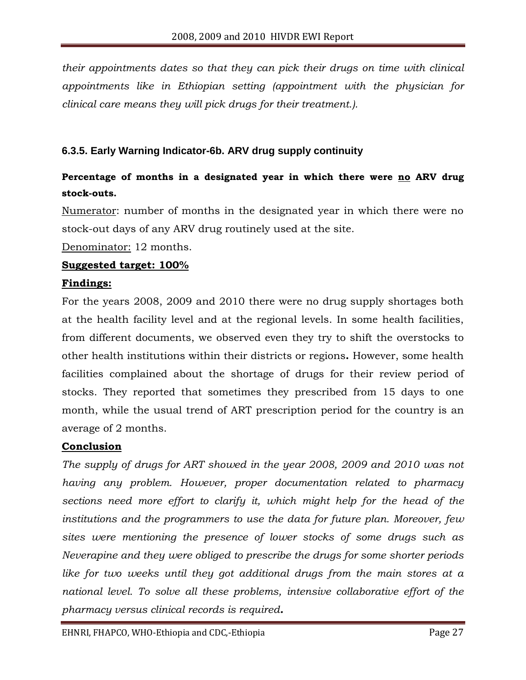*their appointments dates so that they can pick their drugs on time with clinical appointments like in Ethiopian setting (appointment with the physician for clinical care means they will pick drugs for their treatment.).*

#### <span id="page-26-0"></span>**6.3.5. Early Warning Indicator-6b. ARV drug supply continuity**

# **Percentage of months in a designated year in which there were no ARV drug stock-outs.**

Numerator: number of months in the designated year in which there were no stock-out days of any ARV drug routinely used at the site.

Denominator: 12 months.

#### **Suggested target: 100%**

#### **Findings:**

For the years 2008, 2009 and 2010 there were no drug supply shortages both at the health facility level and at the regional levels. In some health facilities, from different documents, we observed even they try to shift the overstocks to other health institutions within their districts or regions**.** However, some health facilities complained about the shortage of drugs for their review period of stocks. They reported that sometimes they prescribed from 15 days to one month, while the usual trend of ART prescription period for the country is an average of 2 months.

#### **Conclusion**

*The supply of drugs for ART showed in the year 2008, 2009 and 2010 was not having any problem. However, proper documentation related to pharmacy sections need more effort to clarify it, which might help for the head of the institutions and the programmers to use the data for future plan. Moreover, few sites were mentioning the presence of lower stocks of some drugs such as Neverapine and they were obliged to prescribe the drugs for some shorter periods like for two weeks until they got additional drugs from the main stores at a national level. To solve all these problems, intensive collaborative effort of the pharmacy versus clinical records is required.*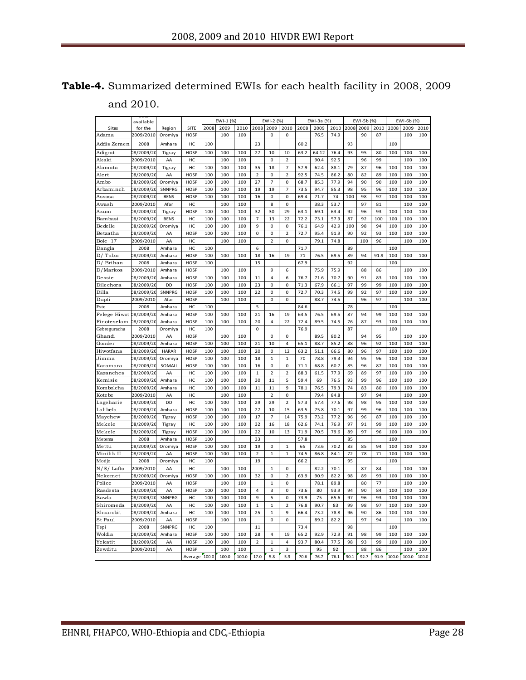| <b>Table-4.</b> Summarized determined EWIs for each health facility in 2008, 2009 |  |  |  |  |
|-----------------------------------------------------------------------------------|--|--|--|--|
| and 2010.                                                                         |  |  |  |  |

|                         | and 2010.                |                  |                     |            |            |            |                |                      |                      |              |              |              |          |            |          |            |            |            |
|-------------------------|--------------------------|------------------|---------------------|------------|------------|------------|----------------|----------------------|----------------------|--------------|--------------|--------------|----------|------------|----------|------------|------------|------------|
|                         | available                |                  |                     |            | EWI-1 (%)  |            |                | EWI-2 (%)            |                      |              | EWI-3a (%)   |              |          | EWI-5b (%) |          |            | EWI-6b (%) |            |
| <b>Sites</b>            | for the                  | Regi on          | SITE                | 2008       | 2009       | 2010       | 2008           | 2009                 | 2010                 | 2008         | 2009         | 2010         | 2008     | 2009       | 2010     | 2008       | 2009       | 2010       |
| Adama                   | 2009/2010                | Oromiya          | <b>HOSP</b>         |            | 100        | 100        |                | 0                    | 0                    |              | 76.5         | 74.9         |          | 90         | 87       |            | 100        | 100        |
| Addis Zemen             | 2008                     | Amhara           | HC                  | 100        |            |            | 23             |                      |                      | 60.2         |              |              | 93       |            |          | 100        |            |            |
| Adigrat                 | 08/2009/20               | Tigray           | HOSP                | 100        | 100        | 100        | 27             | 10                   | 10                   | 63.2         | 64.12        | 76.4         | 93       | 95         | 80       | 100        | 100        | 100        |
| Akaki                   | 2009/2010                | AA               | HC                  |            | 100        | 100        |                | 0                    | $\overline{2}$       |              | 90.4         | 92.5         |          | 96         | 99       |            | 100        | 100        |
| Alamata                 | 08/2009/20               | Tigray           | HC                  | 100        | 100        | 100        | 35             | 18                   | $\overline{7}$       | 57.9         | 62.4         | 88.1         | 79       | 87         | 96       | 100        | 100        | 100        |
| Alert                   | 08/2009/20               | AA               | HOSP                | 100        | 100        | 100        | $\overline{2}$ | 0                    | $\overline{2}$       | 92.5         | 74.5         | 86.2         | 80       | 82         | 89       | 100        | 100        | 100        |
| Ambo                    | 08/2009/20               | Oromiya          | <b>HOSP</b>         | 100        | 100        | 100        | 27             | 7                    | 0                    | 68.7         | 85.3         | 77.9         | 94       | 90         | 90       | 100        | 100        | 100        |
| Arbaminch               | 08/2009/20               | SNNPRG           | HOSP                | 100        | 100        | 100        | 19             | 19                   | $\overline{7}$       | 73.5         | 94.7         | 85.3         | 98       | 95         | 96       | 100        | 100        | 100        |
| Assosa                  | 08/2009/20               | <b>BENS</b>      | <b>HOSP</b>         | 100        | 100        | 100        | 16             | 0                    | 0                    | 69.4         | 71.7         | 74           | 100      | 98         | 97       | 100        | 100        | 100        |
| Awash                   | 2009/2010                | Afar             | HC                  |            | 100        | 100        |                | 8                    | 0                    |              | 38.3         | 53.7         |          | 97         | 81       |            | 100        | 100        |
| Axum                    | 08/2009/20               | Tigray           | <b>HOSP</b>         | 100        | 100        | 100        | 32             | 30                   | 29                   | 63.1         | 69.1         | 63.4         | 92       | 96         | 93       | 100        | 100        | 100        |
| Bambasi                 | 08/2009/20               | <b>BENS</b>      | HC                  | 100        | 100        | 100        | $\overline{7}$ | 13                   | 22                   | 72.2         | 73.1         | 57.9         | 87       | 92         | 100      | 100        | 100        | 100        |
| Bedelle                 | 08/2009/20               | Oromiya          | HC                  | 100        | 100        | 100        | 9              | 0                    | 0                    | 76.1         | 64.9         | 42.9         | 100      | 98         | 94       | 100        | 100        | 100        |
| Betzatha                | 08/2009/20               | AA               | <b>HOSP</b>         | 100        | 100        | 100        | 0              | 0                    | 2                    | 72.7         | 95.4         | 91.9         | 90       | 92         | 93       | 100        | 100        | 100        |
| 17<br>Bole              | 2009/2010                | AA               | HC                  |            | 100        | 100        |                | $\overline{2}$       | 0                    |              | 79.1         | 74.8         |          | 100        | 96       |            | 100        | 100        |
| Dangla                  | 2008                     | Amhara           | HC                  | 100        |            |            | 6              |                      |                      | 71.7         |              |              | 89       |            |          | 100        |            |            |
| D/ Tabor                | 08/2009/20               | Amhara           | HOSP                | 100        | 100        | 100        | 18             | 16                   | 19                   | 71           | 76.5         | 69.5         | 89       | 94         | 91.9     | 100        | 100        | 100        |
| D/ Brihan               | 2008                     | Amhara           | HOSP                | 100        |            |            | 15             |                      |                      | 67.9         |              |              | 92       |            |          | 100        |            |            |
| D/Markos                | 2009/2010                | Amhara           | <b>HOSP</b>         |            | 100        | 100        |                | 9                    | 6                    |              | 75.9         | 75.9         |          | 88         | 86       |            | 100        | 100        |
| Dessie                  | 08/2009/20               | Amhara           | <b>HOSP</b>         | 100        | 100        | 100        | 11             | 4                    | 6                    | 76.7         | 71.6         | 70.7         | 90       | 91         | 83       | 100        | 100        | 100        |
| Dilechora               | 08/2009/20               | DD               | <b>HOSP</b>         | 100        | 100        | 100        | 23             | 0                    | 0                    | 71.3         | 67.9         | 66.1         | 97       | 99         | 99       | 100        | 100        | 100        |
| Dilla                   | 08/2009/20               | SNNPRG           | <b>HOSP</b>         | 100        | 100        | 100        | 22             | 0                    | 0                    | 72.7         | 70.3         | 74.5         | 99       | 92         | 97       | 100        | 100        | 100        |
| Dupti                   | 2009/2010                | Afar             | HOSP                |            | 100        | 100        |                | 0                    | 0                    |              | 88.7         | 74.5         |          | 96         | 97       |            | 100        | 100        |
| Este                    | 2008                     | Amhara           | HC                  | 100        |            |            | 5              |                      |                      | 84.6         |              |              | 78       |            |          | 100        |            |            |
| Felege Hiwot 08/2009/20 |                          | Amhara           | <b>HOSP</b>         | 100        | 100        | 100        | 21             | 16                   | 19                   | 64.5         | 76.5         | 69.5         | 87       | 94         | 99       | 100        | 100        | 100        |
| Finoteselam             | 08/2009/20               | Amhara           | <b>HOSP</b>         | 100        | 100        | 100        | 20             | 4                    | 22                   | 72.4         | 89.5         | 74.5         | 76       | 87         | 93       | 100        | 100        | 100        |
| Gebreguracha            | 2008                     | Oromiya          | HC                  | 100        |            |            | 0              |                      |                      | 76.9         |              |              | 87       |            |          | 100        |            |            |
| Ghandi                  | 2009/2010                | AA               | HOSP                |            | 100        | 100        |                | 0                    | 0                    |              | 89.5         | 80.2         |          | 94         | 95       |            | 100        | 100        |
| Gonder                  | 08/2009/20               | Amhara           | HOSP                | 100        | 100        | 100        | 21             | 10                   | 4                    | 65.1         | 88.7         | 85.2         | 88       | 96         | 92       | 100        | 100        | 100        |
| Hiwotfana               | 08/2009/20               | <b>HARAR</b>     | <b>HOSP</b>         | 100        | 100        | 100        | 20             | 0                    | 12                   | 63.2         | 51.1         | 66.6         | 80       | 96         | 97       | 100        | 100        | 100        |
| Jimma                   | 08/2009/20               | Oromiya          | <b>HOSP</b>         | 100        | 100        | 100        | 18             | 1                    | $\mathbf{1}$         | 70           | 78.8         | 79.3         | 94       | 95         | 96       | 100        | 100        | 100        |
| Karamara                | 08/2009/20               | SOMALI           | <b>HOSP</b>         | 100        | 100        | 100        | 16             | 0                    | 0                    | 71.1         | 68.8         | 60.7         | 85       | 96         | 87       | 100        | 100        | 100        |
| Kazanches               | 08/2009/20               | AA               | HC                  | 100        | 100        | 100        | $\mathbf 1$    | 2                    | 2                    | 88.3         | 61.5         | 77.9         | 69       | 89         | 97       | 100        | 100        | 100        |
| Kemisie                 | 08/2009/20               | Amhara           | HC                  | 100        | 100        | 100        | 30             | 11                   | 5<br>9               | 59.4         | 69           | 76.5         | 93<br>74 | 99         | 96       | 100        | 100        | 100        |
| Kombolcha               | 08/2009/20               | Amhara           | HC<br>HC            | 100        | 100<br>100 | 100<br>100 | 11             | 11<br>$\overline{2}$ | 0                    | 78.1         | 76.5<br>79.4 | 79.3<br>84.8 |          | 83<br>97   | 80<br>94 | 100        | 100<br>100 | 100        |
| Kote be                 | 2009/2010                | AA               |                     |            |            |            |                |                      |                      |              |              |              |          |            |          |            |            | 100        |
| Lageharie<br>Lalibela   | 08/2009/20               | DD               | HC                  | 100<br>100 | 100<br>100 | 100        | 29<br>27       | 29<br>10             | $\overline{2}$<br>15 | 57.3         | 57.4         | 77.6<br>70.1 | 98<br>97 | 98<br>99   | 95<br>96 | 100<br>100 | 100        | 100<br>100 |
| Maychew                 | 08/2009/20<br>08/2009/20 | Amhara           | HOSP<br><b>HOSP</b> | 100        | 100        | 100<br>100 | 17             | 7                    | 14                   | 63.5<br>75.9 | 75.8<br>73.2 | 77.2         | 96       | 96         | 87       | 100        | 100<br>100 | 100        |
| Mekele                  | 08/2009/20               | Tigray<br>Tigray | HC                  | 100        | 100        | 100        | 32             | 16                   | 18                   | 62.6         | 74.1         | 76.9         | 97       | 91         | 99       | 100        | 100        | 100        |
| Mekele                  | 08/2009/20               | Tigray           | HOSP                | 100        | 100        | 100        | 22             | 10                   | 13                   | 71.9         | 70.5         | 79.6         | 89       | 97         | 96       | 100        | 100        | 100        |
| Metema                  | 2008                     | Amhara           | <b>HOSP</b>         | 100        |            |            | 33             |                      |                      | 57.8         |              |              | 85       |            |          | 100        |            |            |
| Mettu                   | 08/2009/20               | Oromiya          | HOSP                | 100        | 100        | 100        | 19             | 0                    | $\mathbf{1}$         | 65           | 73.6         | 70.2         | 83       | 85         | 94       | 100        | 100        | 100        |
| Minilik II              | 08/2009/20               | AA               | <b>HOSP</b>         | 100        | 100        | 100        | 2              | 1                    | 1                    | 74.5         | 86.8         | 84.1         | 72       | 78         | 71       | 100        | 100        | 100        |
| Modjo                   | 2008                     | Oromiya          | HC                  | 100        |            |            | 19             |                      |                      | 66.2         |              |              | 95       |            |          | 100        |            |            |
| N/S/ Lafto              | 2009/2010                | AA               | HC                  |            | 100        | 100        |                | 1                    | 0                    |              | 82.2         | 70.1         |          | 87         | 84       |            | 100        | 100        |
| Nekemet                 | 08/2009/20               | Oromiya          | HOSP                | 100        | 100        | 100        | 32             | 0                    | 2                    | 63.9         | 90.9         | 82.2         | 98       | 89         | 93       | 100        | 100        | 100        |
| Police                  | 2009/2010                | AA               | HOSP                |            | 100        | 100        |                | 1                    | 0                    |              | 78.1         | 89.8         |          | 80         | 77       |            | 100        | 100        |
| Rasdesta                | 08/2009/20               | AA               | HOSP                | 100        | 100        | 100        | 4              | 3                    | 0                    | 73.6         | 80           | 93.9         | 94       | 90         | 84       | 100        | 100        | 100        |
| Sawla                   | 08/2009/20               | SNNPRG           | HC                  | 100        | 100        | 100        | 9              | 5                    | 0                    | 73.9         | 75           | 65.6         | 97       | 96         | 93       | 100        | 100        | 100        |
| Shiromeda               | 08/2009/20               | AA               | HC                  | 100        | 100        | 100        | $\mathbf 1$    | $\mathbf{1}$         | $\overline{2}$       | 76.8         | 90.7         | 83           | 99       | 98         | 97       | 100        | 100        | 100        |
| Shoarobit               | 08/2009/20               | Amhara           | HC                  | 100        | 100        | 100        | 25             | $\mathbf{1}$         | 9                    | 66.4         | 73.2         | 78.8         | 96       | 90         | 86       | 100        | 100        | 100        |
| St Paul                 | 2009/2010                | AA               | <b>HOSP</b>         |            | 100        | 100        |                | 0                    | 0                    |              | 89.2         | 82.2         |          | 97         | 94       |            | 100        | 100        |
| Tepi                    | 2008                     | SNNPRG           | HC                  | 100        |            |            | 11             |                      |                      | 73.4         |              |              | 98       |            |          | 100        |            |            |
| Woldia                  | 08/2009/20               | Amhara           | HOSP                | 100        | 100        | 100        | 28             | 4                    | 19                   | 65.2         | 92.9         | 72.9         | 91       | 98         | 99       | 100        | 100        | 100        |
| Yekatit                 | 08/2009/20               | AA               | HOSP                | 100        | 100        | 100        | $\overline{2}$ | 1                    | $\pmb{4}$            | 93.7         | 80.4         | 77.5         | 98       | 93         | 99       | 100        | 100        | 100        |
| Zewditu                 | 2009/2010                | AA               | HOSP                |            | 100        | 100        |                | 1                    | 3                    |              | 95           | 92           |          | 88         | 86       |            | 100        | 100        |
|                         |                          |                  | Average 100.0       |            | 100.0      | 100.0      | 17.0           | 5.8                  | 5.9                  | 70.6         | 76.7         | 76.1         | 90.1     | 92.7       | 91.9     | 100.0      | 100.0      | 100.0      |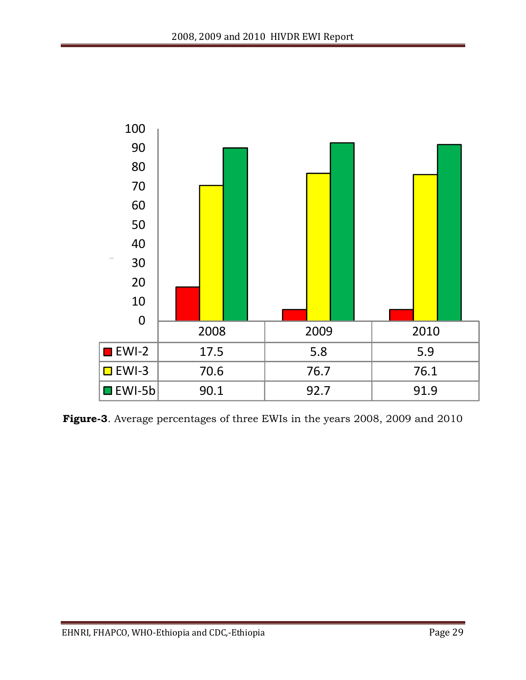

**Figure-3**. Average percentages of three EWIs in the years 2008, 2009 and 2010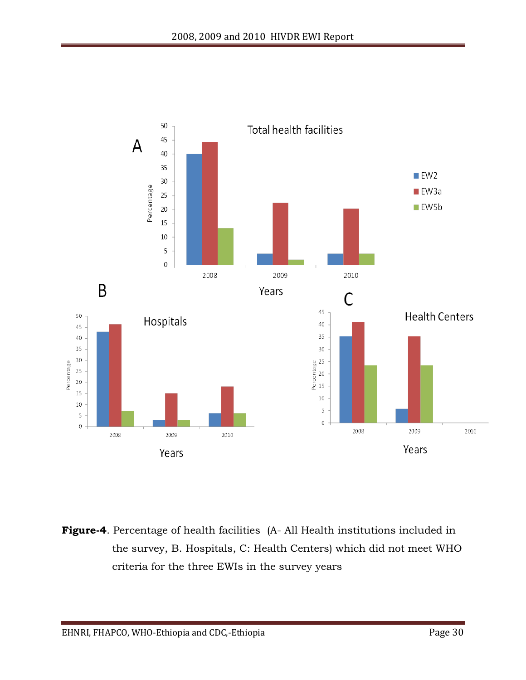

**Figure-4**. Percentage of health facilities (A- All Health institutions included in the survey, B. Hospitals, C: Health Centers) which did not meet WHO criteria for the three EWIs in the survey years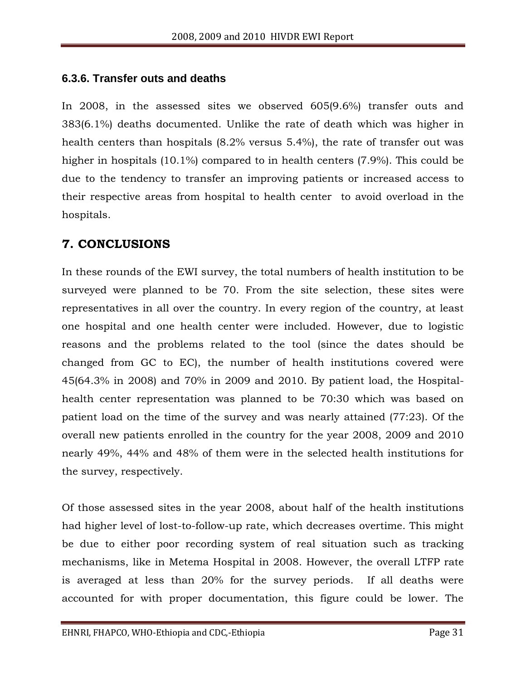#### <span id="page-30-0"></span>**6.3.6. Transfer outs and deaths**

In 2008, in the assessed sites we observed 605(9.6%) transfer outs and 383(6.1%) deaths documented. Unlike the rate of death which was higher in health centers than hospitals (8.2% versus 5.4%), the rate of transfer out was higher in hospitals (10.1%) compared to in health centers (7.9%). This could be due to the tendency to transfer an improving patients or increased access to their respective areas from hospital to health center to avoid overload in the hospitals.

# <span id="page-30-1"></span>**7. CONCLUSIONS**

In these rounds of the EWI survey, the total numbers of health institution to be surveyed were planned to be 70. From the site selection, these sites were representatives in all over the country. In every region of the country, at least one hospital and one health center were included. However, due to logistic reasons and the problems related to the tool (since the dates should be changed from GC to EC), the number of health institutions covered were 45(64.3% in 2008) and 70% in 2009 and 2010. By patient load, the Hospitalhealth center representation was planned to be 70:30 which was based on patient load on the time of the survey and was nearly attained (77:23). Of the overall new patients enrolled in the country for the year 2008, 2009 and 2010 nearly 49%, 44% and 48% of them were in the selected health institutions for the survey, respectively.

Of those assessed sites in the year 2008, about half of the health institutions had higher level of lost-to-follow-up rate, which decreases overtime. This might be due to either poor recording system of real situation such as tracking mechanisms, like in Metema Hospital in 2008. However, the overall LTFP rate is averaged at less than 20% for the survey periods. If all deaths were accounted for with proper documentation, this figure could be lower. The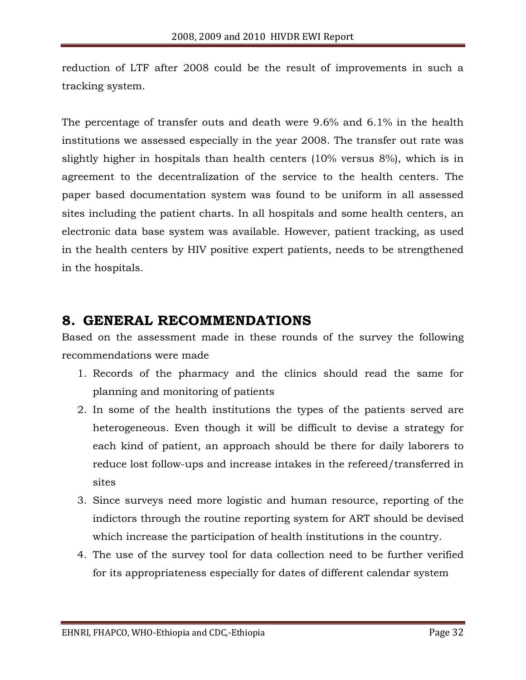reduction of LTF after 2008 could be the result of improvements in such a tracking system.

The percentage of transfer outs and death were 9.6% and 6.1% in the health institutions we assessed especially in the year 2008. The transfer out rate was slightly higher in hospitals than health centers (10% versus 8%), which is in agreement to the decentralization of the service to the health centers. The paper based documentation system was found to be uniform in all assessed sites including the patient charts. In all hospitals and some health centers, an electronic data base system was available. However, patient tracking, as used in the health centers by HIV positive expert patients, needs to be strengthened in the hospitals.

# <span id="page-31-0"></span>**8. GENERAL RECOMMENDATIONS**

Based on the assessment made in these rounds of the survey the following recommendations were made

- 1. Records of the pharmacy and the clinics should read the same for planning and monitoring of patients
- 2. In some of the health institutions the types of the patients served are heterogeneous. Even though it will be difficult to devise a strategy for each kind of patient, an approach should be there for daily laborers to reduce lost follow-ups and increase intakes in the refereed/transferred in sites
- 3. Since surveys need more logistic and human resource, reporting of the indictors through the routine reporting system for ART should be devised which increase the participation of health institutions in the country.
- 4. The use of the survey tool for data collection need to be further verified for its appropriateness especially for dates of different calendar system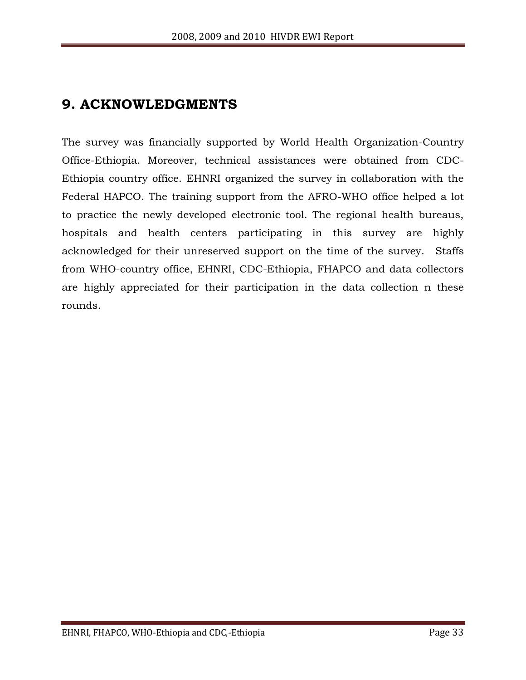# <span id="page-32-0"></span>**9. ACKNOWLEDGMENTS**

The survey was financially supported by World Health Organization-Country Office-Ethiopia. Moreover, technical assistances were obtained from CDC-Ethiopia country office. EHNRI organized the survey in collaboration with the Federal HAPCO. The training support from the AFRO-WHO office helped a lot to practice the newly developed electronic tool. The regional health bureaus, hospitals and health centers participating in this survey are highly acknowledged for their unreserved support on the time of the survey. Staffs from WHO-country office, EHNRI, CDC-Ethiopia, FHAPCO and data collectors are highly appreciated for their participation in the data collection n these rounds.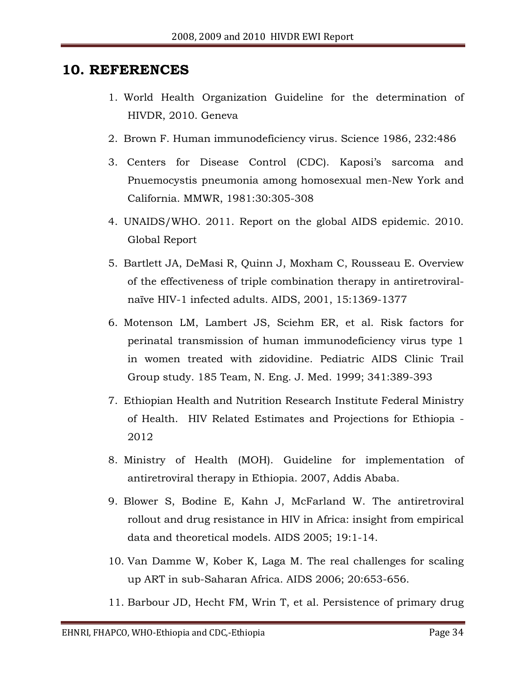# <span id="page-33-0"></span>**10. REFERENCES**

- 1. World Health Organization Guideline for the determination of HIVDR, 2010. Geneva
- 2. Brown F. Human immunodeficiency virus. Science 1986, 232:486
- 3. Centers for Disease Control (CDC). Kaposi's sarcoma and Pnuemocystis pneumonia among homosexual men-New York and California. MMWR, 1981:30:305-308
- 4. UNAIDS/WHO. 2011. Report on the global AIDS epidemic. 2010. Global Report
- 5. Bartlett JA, DeMasi R, Quinn J, Moxham C, Rousseau E. Overview of the effectiveness of triple combination therapy in antiretroviralnaïve HIV-1 infected adults. AIDS, 2001, 15:1369-1377
- 6. Motenson LM, Lambert JS, Sciehm ER, et al. Risk factors for perinatal transmission of human immunodeficiency virus type 1 in women treated with zidovidine. Pediatric AIDS Clinic Trail Group study. 185 Team, N. Eng. J. Med. 1999; 341:389-393
- 7. Ethiopian Health and Nutrition Research Institute Federal Ministry of Health. HIV Related Estimates and Projections for Ethiopia - 2012
- 8. Ministry of Health (MOH). Guideline for implementation of antiretroviral therapy in Ethiopia. 2007, Addis Ababa.
- 9. Blower S, Bodine E, Kahn J, McFarland W. The antiretroviral rollout and drug resistance in HIV in Africa: insight from empirical data and theoretical models. AIDS 2005; 19:1-14.
- 10. Van Damme W, Kober K, Laga M. The real challenges for scaling up ART in sub-Saharan Africa. AIDS 2006; 20:653-656.
- 11. Barbour JD, Hecht FM, Wrin T, et al. Persistence of primary drug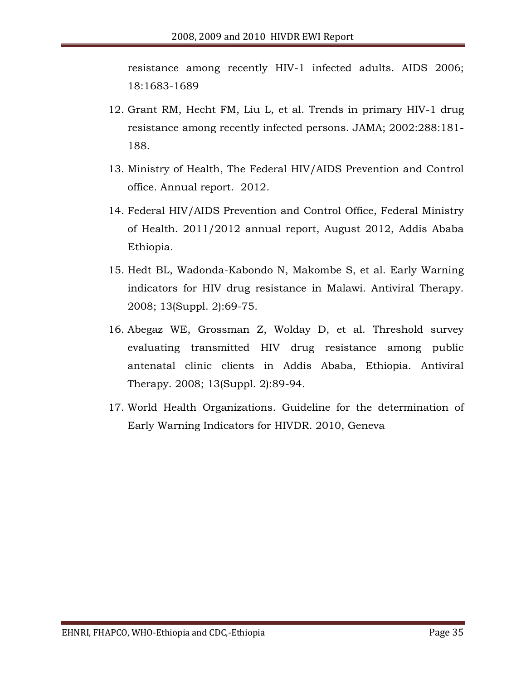resistance among recently HIV-1 infected adults. AIDS 2006; 18:1683-1689

- 12. Grant RM, Hecht FM, Liu L, et al. Trends in primary HIV-1 drug resistance among recently infected persons. JAMA; 2002:288:181- 188.
- 13. Ministry of Health, The Federal HIV/AIDS Prevention and Control office. Annual report. 2012.
- 14. Federal HIV/AIDS Prevention and Control Office, Federal Ministry of Health. 2011/2012 annual report, August 2012, Addis Ababa Ethiopia.
- 15. Hedt BL, Wadonda-Kabondo N, Makombe S, et al. Early Warning indicators for HIV drug resistance in Malawi. Antiviral Therapy. 2008; 13(Suppl. 2):69-75.
- 16. Abegaz WE, Grossman Z, Wolday D, et al. Threshold survey evaluating transmitted HIV drug resistance among public antenatal clinic clients in Addis Ababa, Ethiopia. Antiviral Therapy. 2008; 13(Suppl. 2):89-94.
- 17. World Health Organizations. Guideline for the determination of Early Warning Indicators for HIVDR. 2010, Geneva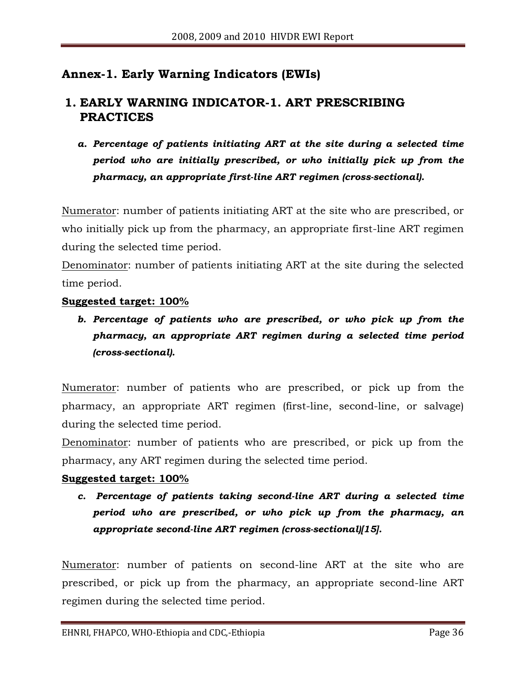# <span id="page-35-0"></span>**Annex-1. Early Warning Indicators (EWIs)**

# **1. EARLY WARNING INDICATOR-1. ART PRESCRIBING PRACTICES**

*a. Percentage of patients initiating ART at the site during a selected time period who are initially prescribed, or who initially pick up from the pharmacy, an appropriate first-line ART regimen (cross-sectional).* 

Numerator: number of patients initiating ART at the site who are prescribed, or who initially pick up from the pharmacy, an appropriate first-line ART regimen during the selected time period.

Denominator: number of patients initiating ART at the site during the selected time period.

#### **Suggested target: 100%**

*b. Percentage of patients who are prescribed, or who pick up from the pharmacy, an appropriate ART regimen during a selected time period (cross-sectional).* 

Numerator: number of patients who are prescribed, or pick up from the pharmacy, an appropriate ART regimen (first-line, second-line, or salvage) during the selected time period.

Denominator: number of patients who are prescribed, or pick up from the pharmacy, any ART regimen during the selected time period.

#### **Suggested target: 100%**

*c. Percentage of patients taking second-line ART during a selected time period who are prescribed, or who pick up from the pharmacy, an appropriate second-line ART regimen (cross-sectional)[15].*

Numerator: number of patients on second-line ART at the site who are prescribed, or pick up from the pharmacy, an appropriate second-line ART regimen during the selected time period.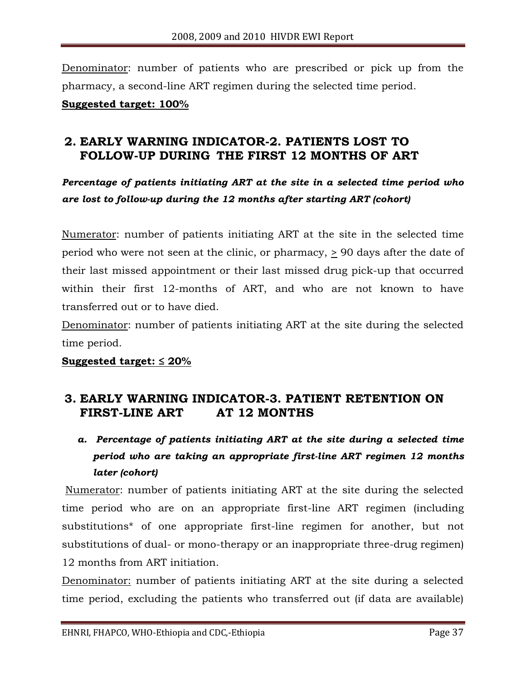Denominator: number of patients who are prescribed or pick up from the pharmacy, a second-line ART regimen during the selected time period.

**Suggested target: 100%**

# **2. EARLY WARNING INDICATOR-2. PATIENTS LOST TO FOLLOW-UP DURING THE FIRST 12 MONTHS OF ART**

*Percentage of patients initiating ART at the site in a selected time period who are lost to follow-up during the 12 months after starting ART (cohort)* 

Numerator: number of patients initiating ART at the site in the selected time period who were not seen at the clinic, or pharmacy,  $\geq$  90 days after the date of their last missed appointment or their last missed drug pick-up that occurred within their first 12-months of ART, and who are not known to have transferred out or to have died.

Denominator: number of patients initiating ART at the site during the selected time period.

#### **Suggested target: ≤ 20%**

# **3. EARLY WARNING INDICATOR-3. PATIENT RETENTION ON FIRST-LINE ART AT 12 MONTHS**

*a. Percentage of patients initiating ART at the site during a selected time period who are taking an appropriate first-line ART regimen 12 months later (cohort)*

Numerator: number of patients initiating ART at the site during the selected time period who are on an appropriate first-line ART regimen (including substitutions\* of one appropriate first-line regimen for another, but not substitutions of dual- or mono-therapy or an inappropriate three-drug regimen) 12 months from ART initiation.

Denominator: number of patients initiating ART at the site during a selected time period, excluding the patients who transferred out (if data are available)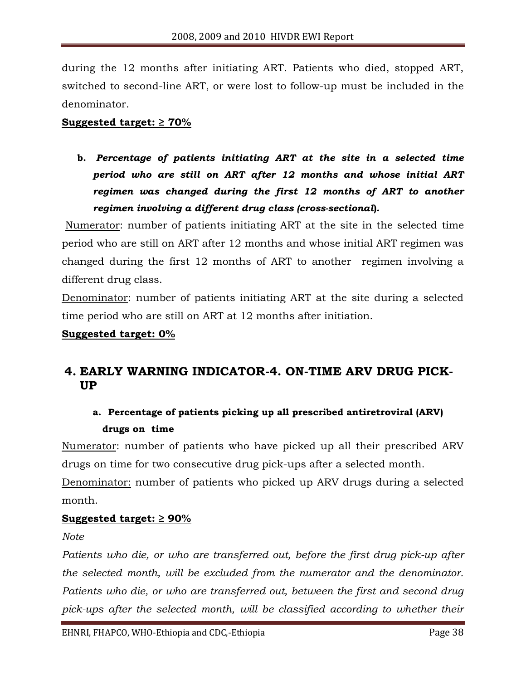during the 12 months after initiating ART. Patients who died, stopped ART, switched to second-line ART, or were lost to follow-up must be included in the denominator.

#### **Suggested target: ≥ 70%**

**b.** *Percentage of patients initiating ART at the site in a selected time period who are still on ART after 12 months and whose initial ART regimen was changed during the first 12 months of ART to another regimen involving a different drug class (cross-sectional***).** 

Numerator: number of patients initiating ART at the site in the selected time period who are still on ART after 12 months and whose initial ART regimen was changed during the first 12 months of ART to another regimen involving a different drug class.

Denominator: number of patients initiating ART at the site during a selected time period who are still on ART at 12 months after initiation.

#### **Suggested target: 0%**

# **4. EARLY WARNING INDICATOR-4. ON-TIME ARV DRUG PICK-UP**

# **a. Percentage of patients picking up all prescribed antiretroviral (ARV) drugs on time**

Numerator: number of patients who have picked up all their prescribed ARV drugs on time for two consecutive drug pick-ups after a selected month.

Denominator: number of patients who picked up ARV drugs during a selected month.

#### **Suggested target: ≥ 90%**

*Note*

*Patients who die, or who are transferred out, before the first drug pick-up after the selected month, will be excluded from the numerator and the denominator.*  Patients who die, or who are transferred out, between the first and second drug pick-ups after the selected month, will be classified according to whether their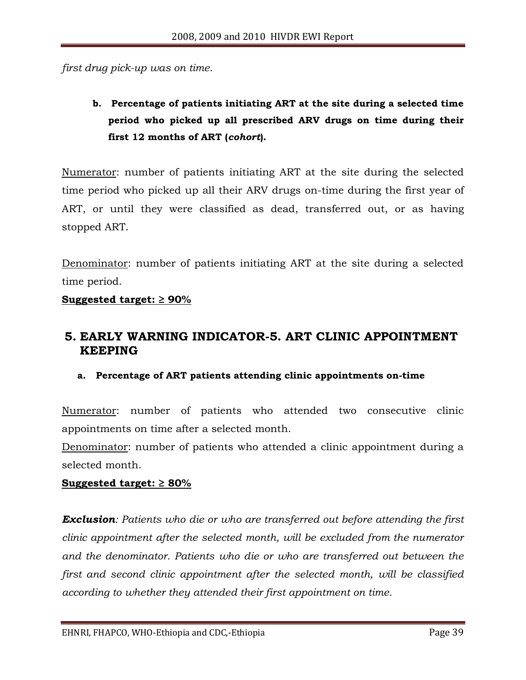*first drug pick-up was on time.* 

**b. Percentage of patients initiating ART at the site during a selected time period who picked up all prescribed ARV drugs on time during their first 12 months of ART (***cohort***).** 

Numerator: number of patients initiating ART at the site during the selected time period who picked up all their ARV drugs on-time during the first year of ART, or until they were classified as dead, transferred out, or as having stopped ART.

Denominator: number of patients initiating ART at the site during a selected time period.

#### **Suggested target: ≥ 90%**

## **5. EARLY WARNING INDICATOR-5. ART CLINIC APPOINTMENT KEEPING**

#### **a. Percentage of ART patients attending clinic appointments on-time**

Numerator: number of patients who attended two consecutive clinic appointments on time after a selected month.

Denominator: number of patients who attended a clinic appointment during a selected month.

#### **Suggested target: ≥ 80%**

*Exclusion: Patients who die or who are transferred out before attending the first clinic appointment after the selected month, will be excluded from the numerator and the denominator. Patients who die or who are transferred out between the first and second clinic appointment after the selected month, will be classified according to whether they attended their first appointment on time.*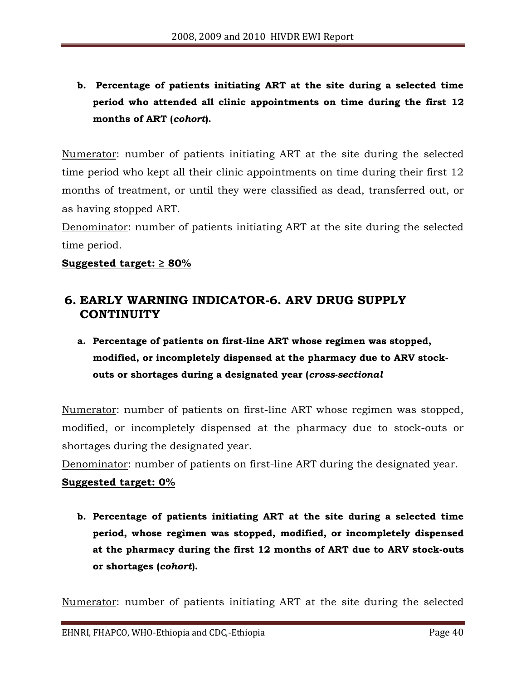**b. Percentage of patients initiating ART at the site during a selected time period who attended all clinic appointments on time during the first 12 months of ART (***cohort***).**

Numerator: number of patients initiating ART at the site during the selected time period who kept all their clinic appointments on time during their first 12 months of treatment, or until they were classified as dead, transferred out, or as having stopped ART.

Denominator: number of patients initiating ART at the site during the selected time period.

#### **Suggested target: ≥ 80%**

# **6. EARLY WARNING INDICATOR-6. ARV DRUG SUPPLY CONTINUITY**

# **a. Percentage of patients on first-line ART whose regimen was stopped, modified, or incompletely dispensed at the pharmacy due to ARV stockouts or shortages during a designated year (***cross-sectional*

Numerator: number of patients on first-line ART whose regimen was stopped, modified, or incompletely dispensed at the pharmacy due to stock-outs or shortages during the designated year.

Denominator: number of patients on first-line ART during the designated year.

#### **Suggested target: 0%**

**b. Percentage of patients initiating ART at the site during a selected time period, whose regimen was stopped, modified, or incompletely dispensed at the pharmacy during the first 12 months of ART due to ARV stock-outs or shortages (***cohort***).** 

Numerator: number of patients initiating ART at the site during the selected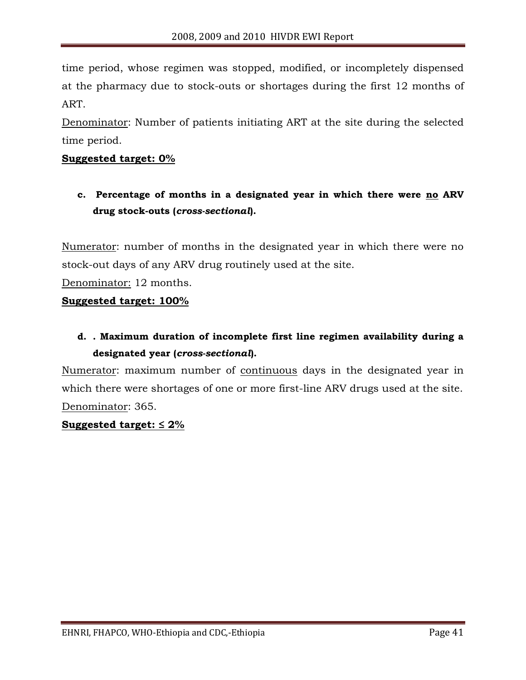time period, whose regimen was stopped, modified, or incompletely dispensed at the pharmacy due to stock-outs or shortages during the first 12 months of ART.

Denominator: Number of patients initiating ART at the site during the selected time period.

#### **Suggested target: 0%**

**c. Percentage of months in a designated year in which there were no ARV drug stock-outs (***cross-sectional***).** 

Numerator: number of months in the designated year in which there were no stock-out days of any ARV drug routinely used at the site.

Denominator: 12 months.

#### **Suggested target: 100%**

# **d. . Maximum duration of incomplete first line regimen availability during a designated year (***cross-sectional***).**

Numerator: maximum number of continuous days in the designated year in which there were shortages of one or more first-line ARV drugs used at the site. Denominator: 365.

#### **Suggested target: ≤ 2%**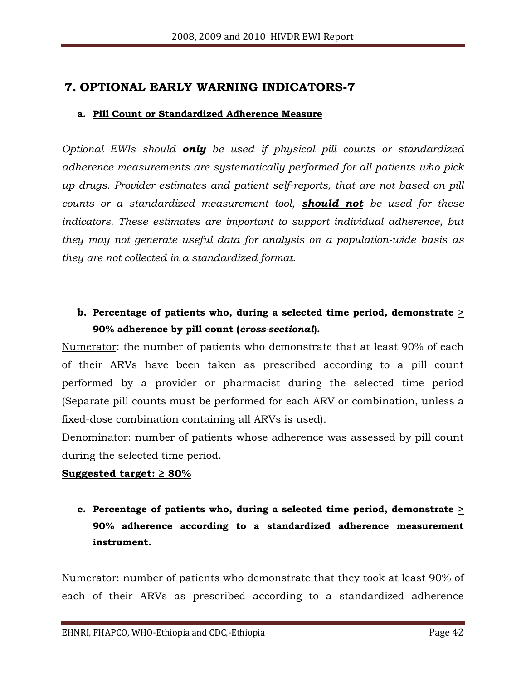#### **7. OPTIONAL EARLY WARNING INDICATORS-7**

#### **a. Pill Count or Standardized Adherence Measure**

*Optional EWIs should only be used if physical pill counts or standardized adherence measurements are systematically performed for all patients who pick up drugs. Provider estimates and patient self-reports, that are not based on pill counts or a standardized measurement tool, should not be used for these indicators. These estimates are important to support individual adherence, but they may not generate useful data for analysis on a population-wide basis as they are not collected in a standardized format.*

## **b. Percentage of patients who, during a selected time period, demonstrate > 90% adherence by pill count (***cross-sectional***).**

Numerator: the number of patients who demonstrate that at least 90% of each of their ARVs have been taken as prescribed according to a pill count performed by a provider or pharmacist during the selected time period (Separate pill counts must be performed for each ARV or combination, unless a fixed-dose combination containing all ARVs is used).

Denominator: number of patients whose adherence was assessed by pill count during the selected time period.

#### **Suggested target: ≥ 80%**

**c. Percentage of patients who, during a selected time period, demonstrate > 90% adherence according to a standardized adherence measurement instrument.** 

Numerator: number of patients who demonstrate that they took at least 90% of each of their ARVs as prescribed according to a standardized adherence